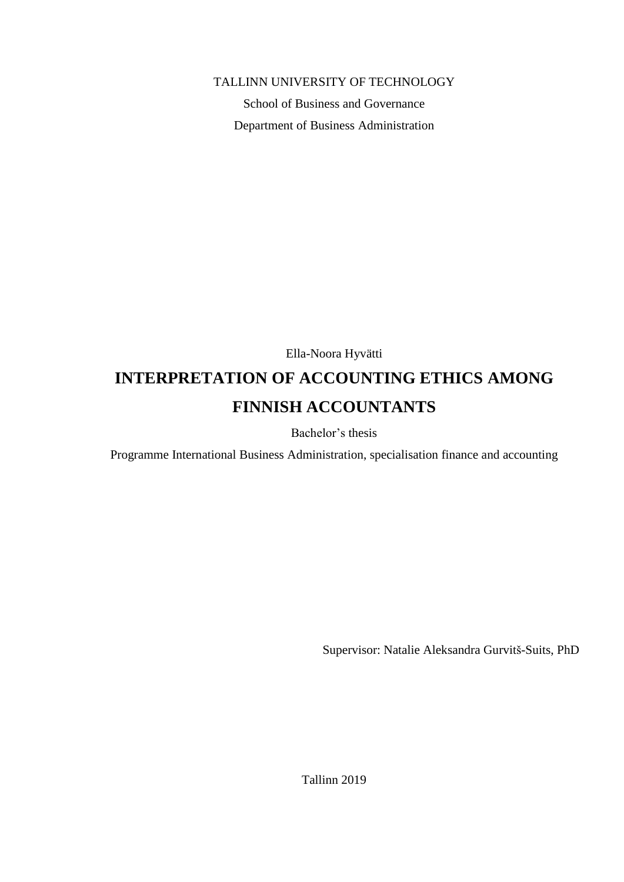TALLINN UNIVERSITY OF TECHNOLOGY

School of Business and Governance Department of Business Administration

Ella-Noora Hyvätti

# **INTERPRETATION OF ACCOUNTING ETHICS AMONG FINNISH ACCOUNTANTS**

Bachelor's thesis

Programme International Business Administration, specialisation finance and accounting

Supervisor: Natalie Aleksandra Gurvitš-Suits, PhD

Tallinn 2019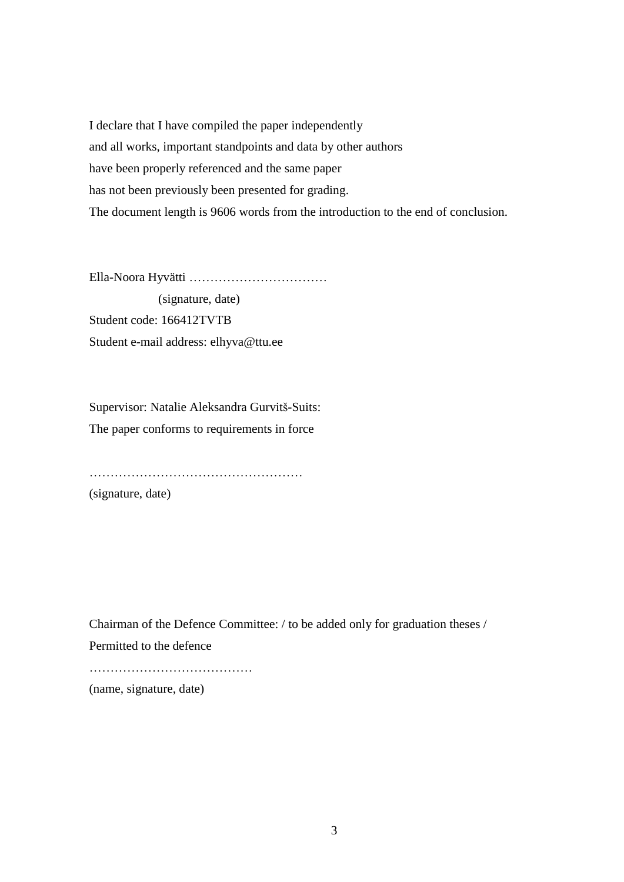I declare that I have compiled the paper independently and all works, important standpoints and data by other authors have been properly referenced and the same paper has not been previously been presented for grading. The document length is 9606 words from the introduction to the end of conclusion.

Ella-Noora Hyvätti ……………………………

 (signature, date) Student code: 166412TVTB Student e-mail address: elhyva@ttu.ee

Supervisor: Natalie Aleksandra Gurvitš-Suits: The paper conforms to requirements in force

……………………………………………

(signature, date)

Chairman of the Defence Committee: / to be added only for graduation theses / Permitted to the defence

…………………………………

(name, signature, date)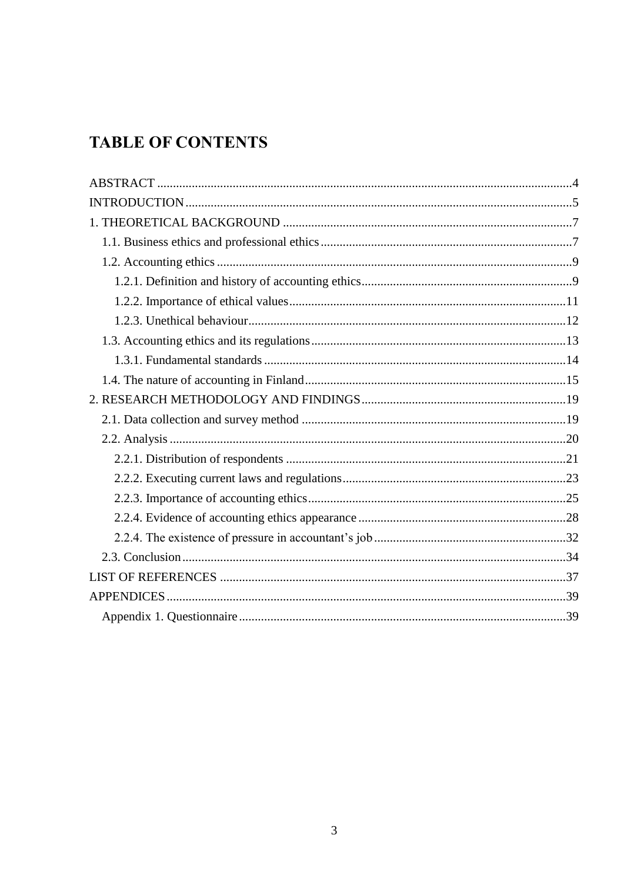# **TABLE OF CONTENTS**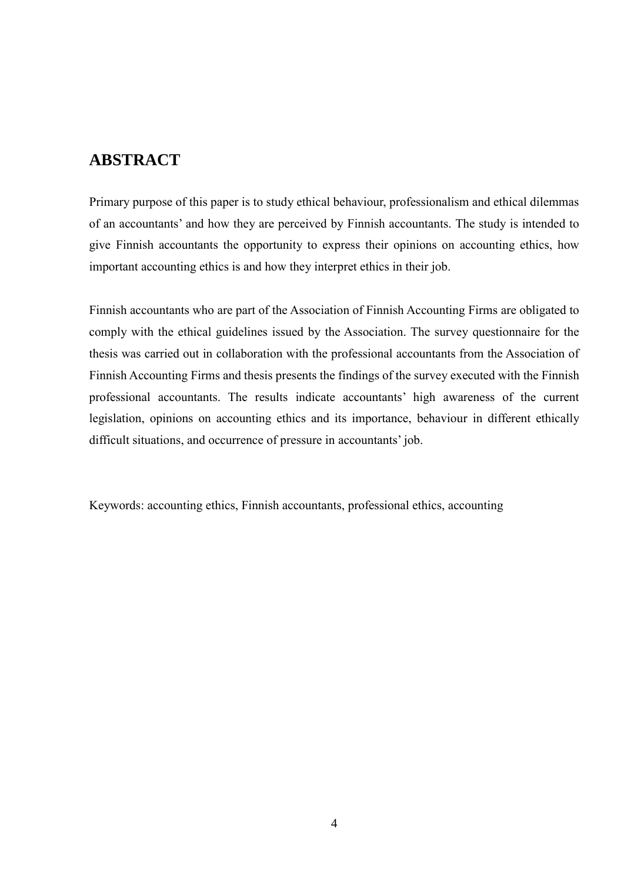## <span id="page-3-0"></span>**ABSTRACT**

Primary purpose of this paper is to study ethical behaviour, professionalism and ethical dilemmas of an accountants' and how they are perceived by Finnish accountants. The study is intended to give Finnish accountants the opportunity to express their opinions on accounting ethics, how important accounting ethics is and how they interpret ethics in their job.

Finnish accountants who are part of the Association of Finnish Accounting Firms are obligated to comply with the ethical guidelines issued by the Association. The survey questionnaire for the thesis was carried out in collaboration with the professional accountants from the Association of Finnish Accounting Firms and thesis presents the findings of the survey executed with the Finnish professional accountants. The results indicate accountants' high awareness of the current legislation, opinions on accounting ethics and its importance, behaviour in different ethically difficult situations, and occurrence of pressure in accountants' job.

Keywords: accounting ethics, Finnish accountants, professional ethics, accounting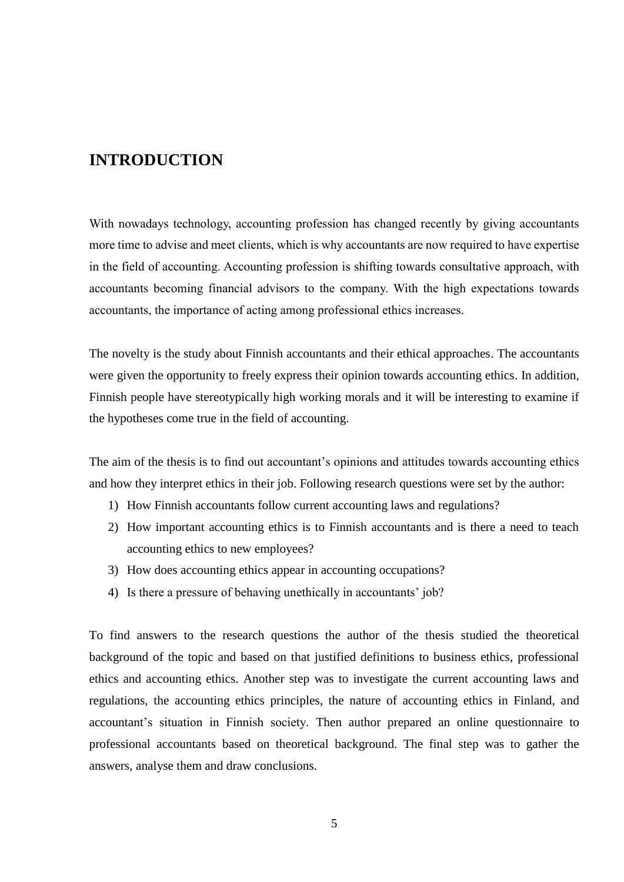## <span id="page-4-0"></span>**INTRODUCTION**

With nowadays technology, accounting profession has changed recently by giving accountants more time to advise and meet clients, which is why accountants are now required to have expertise in the field of accounting. Accounting profession is shifting towards consultative approach, with accountants becoming financial advisors to the company. With the high expectations towards accountants, the importance of acting among professional ethics increases.

The novelty is the study about Finnish accountants and their ethical approaches. The accountants were given the opportunity to freely express their opinion towards accounting ethics. In addition, Finnish people have stereotypically high working morals and it will be interesting to examine if the hypotheses come true in the field of accounting.

The aim of the thesis is to find out accountant's opinions and attitudes towards accounting ethics and how they interpret ethics in their job. Following research questions were set by the author:

- 1) How Finnish accountants follow current accounting laws and regulations?
- 2) How important accounting ethics is to Finnish accountants and is there a need to teach accounting ethics to new employees?
- 3) How does accounting ethics appear in accounting occupations?
- 4) Is there a pressure of behaving unethically in accountants' job?

To find answers to the research questions the author of the thesis studied the theoretical background of the topic and based on that justified definitions to business ethics, professional ethics and accounting ethics. Another step was to investigate the current accounting laws and regulations, the accounting ethics principles, the nature of accounting ethics in Finland, and accountant's situation in Finnish society. Then author prepared an online questionnaire to professional accountants based on theoretical background. The final step was to gather the answers, analyse them and draw conclusions.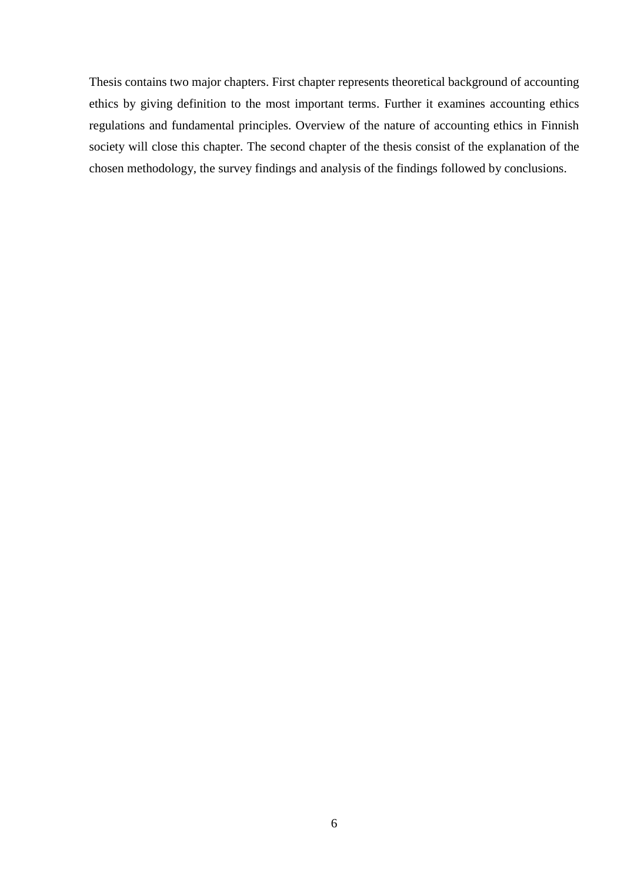Thesis contains two major chapters. First chapter represents theoretical background of accounting ethics by giving definition to the most important terms. Further it examines accounting ethics regulations and fundamental principles. Overview of the nature of accounting ethics in Finnish society will close this chapter. The second chapter of the thesis consist of the explanation of the chosen methodology, the survey findings and analysis of the findings followed by conclusions.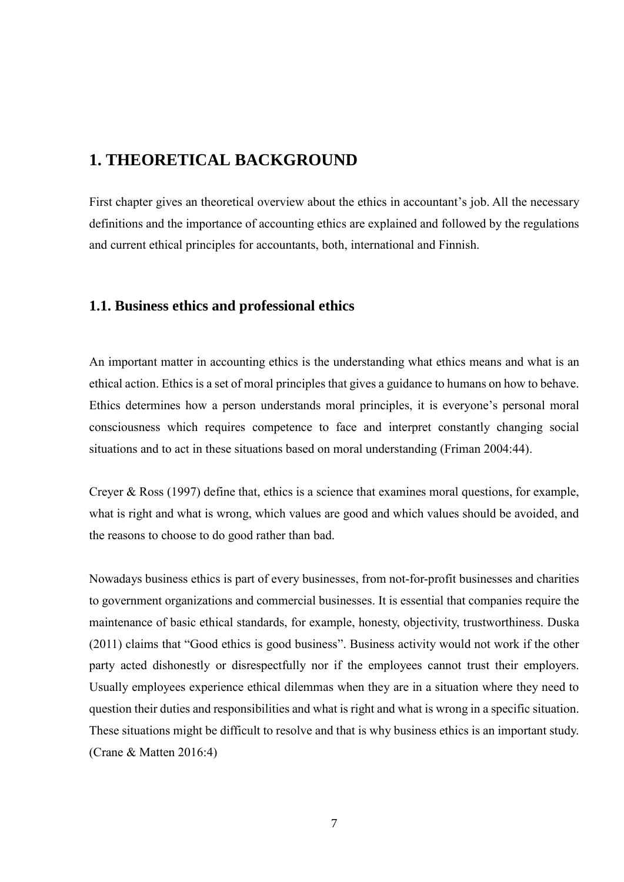## <span id="page-6-0"></span>**1. THEORETICAL BACKGROUND**

First chapter gives an theoretical overview about the ethics in accountant's job. All the necessary definitions and the importance of accounting ethics are explained and followed by the regulations and current ethical principles for accountants, both, international and Finnish.

### <span id="page-6-1"></span>**1.1. Business ethics and professional ethics**

An important matter in accounting ethics is the understanding what ethics means and what is an ethical action. Ethics is a set of moral principles that gives a guidance to humans on how to behave. Ethics determines how a person understands moral principles, it is everyone's personal moral consciousness which requires competence to face and interpret constantly changing social situations and to act in these situations based on moral understanding (Friman 2004:44).

Creyer & Ross (1997) define that, ethics is a science that examines moral questions, for example, what is right and what is wrong, which values are good and which values should be avoided, and the reasons to choose to do good rather than bad.

Nowadays business ethics is part of every businesses, from not-for-profit businesses and charities to government organizations and commercial businesses. It is essential that companies require the maintenance of basic ethical standards, for example, honesty, objectivity, trustworthiness. Duska (2011) claims that "Good ethics is good business". Business activity would not work if the other party acted dishonestly or disrespectfully nor if the employees cannot trust their employers. Usually employees experience ethical dilemmas when they are in a situation where they need to question their duties and responsibilities and what is right and what is wrong in a specific situation. These situations might be difficult to resolve and that is why business ethics is an important study. (Crane & Matten 2016:4)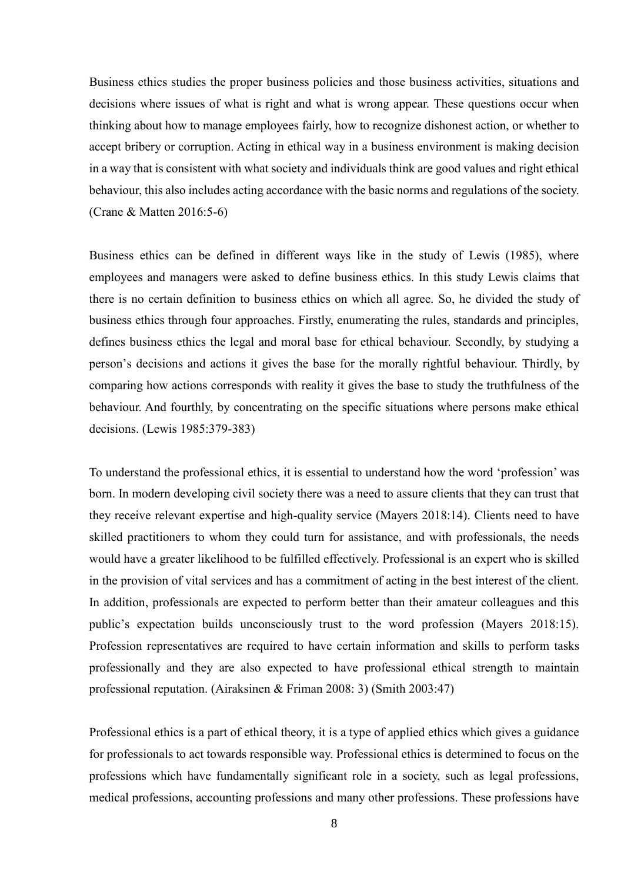Business ethics studies the proper business policies and those business activities, situations and decisions where issues of what is right and what is wrong appear. These questions occur when thinking about how to manage employees fairly, how to recognize dishonest action, or whether to accept bribery or corruption. Acting in ethical way in a business environment is making decision in a way that is consistent with what society and individuals think are good values and right ethical behaviour, this also includes acting accordance with the basic norms and regulations of the society. (Crane & Matten 2016:5-6)

Business ethics can be defined in different ways like in the study of Lewis (1985), where employees and managers were asked to define business ethics. In this study Lewis claims that there is no certain definition to business ethics on which all agree. So, he divided the study of business ethics through four approaches. Firstly, enumerating the rules, standards and principles, defines business ethics the legal and moral base for ethical behaviour. Secondly, by studying a person's decisions and actions it gives the base for the morally rightful behaviour. Thirdly, by comparing how actions corresponds with reality it gives the base to study the truthfulness of the behaviour. And fourthly, by concentrating on the specific situations where persons make ethical decisions. (Lewis 1985:379-383)

To understand the professional ethics, it is essential to understand how the word 'profession' was born. In modern developing civil society there was a need to assure clients that they can trust that they receive relevant expertise and high-quality service (Mayers 2018:14). Clients need to have skilled practitioners to whom they could turn for assistance, and with professionals, the needs would have a greater likelihood to be fulfilled effectively. Professional is an expert who is skilled in the provision of vital services and has a commitment of acting in the best interest of the client. In addition, professionals are expected to perform better than their amateur colleagues and this public's expectation builds unconsciously trust to the word profession (Mayers 2018:15). Profession representatives are required to have certain information and skills to perform tasks professionally and they are also expected to have professional ethical strength to maintain professional reputation. (Airaksinen & Friman 2008: 3) (Smith 2003:47)

Professional ethics is a part of ethical theory, it is a type of applied ethics which gives a guidance for professionals to act towards responsible way. Professional ethics is determined to focus on the professions which have fundamentally significant role in a society, such as legal professions, medical professions, accounting professions and many other professions. These professions have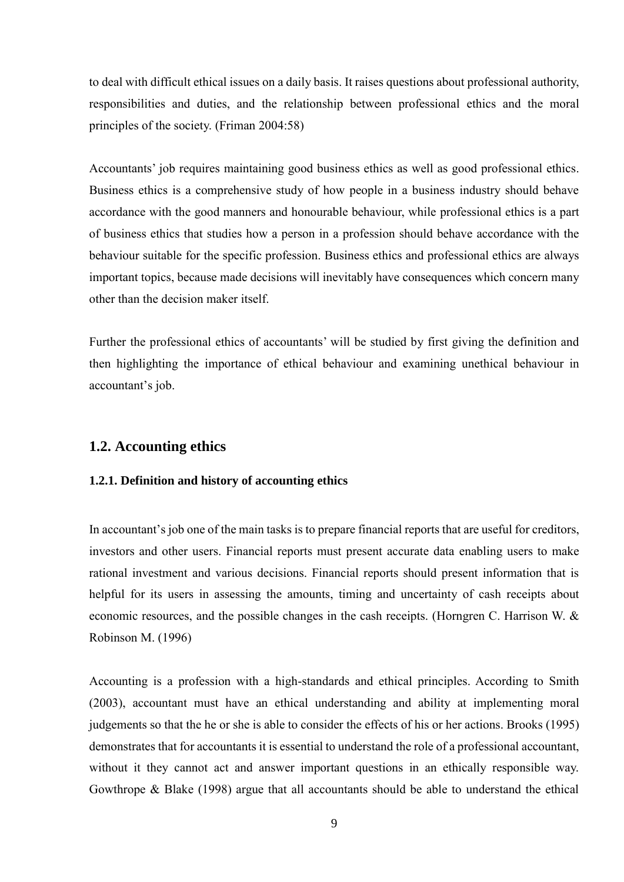to deal with difficult ethical issues on a daily basis. It raises questions about professional authority, responsibilities and duties, and the relationship between professional ethics and the moral principles of the society. (Friman 2004:58)

Accountants' job requires maintaining good business ethics as well as good professional ethics. Business ethics is a comprehensive study of how people in a business industry should behave accordance with the good manners and honourable behaviour, while professional ethics is a part of business ethics that studies how a person in a profession should behave accordance with the behaviour suitable for the specific profession. Business ethics and professional ethics are always important topics, because made decisions will inevitably have consequences which concern many other than the decision maker itself.

Further the professional ethics of accountants' will be studied by first giving the definition and then highlighting the importance of ethical behaviour and examining unethical behaviour in accountant's job.

### <span id="page-8-0"></span>**1.2. Accounting ethics**

### <span id="page-8-1"></span>**1.2.1. Definition and history of accounting ethics**

In accountant's job one of the main tasks is to prepare financial reports that are useful for creditors, investors and other users. Financial reports must present accurate data enabling users to make rational investment and various decisions. Financial reports should present information that is helpful for its users in assessing the amounts, timing and uncertainty of cash receipts about economic resources, and the possible changes in the cash receipts. (Horngren C. Harrison W. & Robinson M. (1996)

Accounting is a profession with a high-standards and ethical principles. According to Smith (2003), accountant must have an ethical understanding and ability at implementing moral judgements so that the he or she is able to consider the effects of his or her actions. Brooks (1995) demonstrates that for accountants it is essential to understand the role of a professional accountant, without it they cannot act and answer important questions in an ethically responsible way. Gowthrope & Blake (1998) argue that all accountants should be able to understand the ethical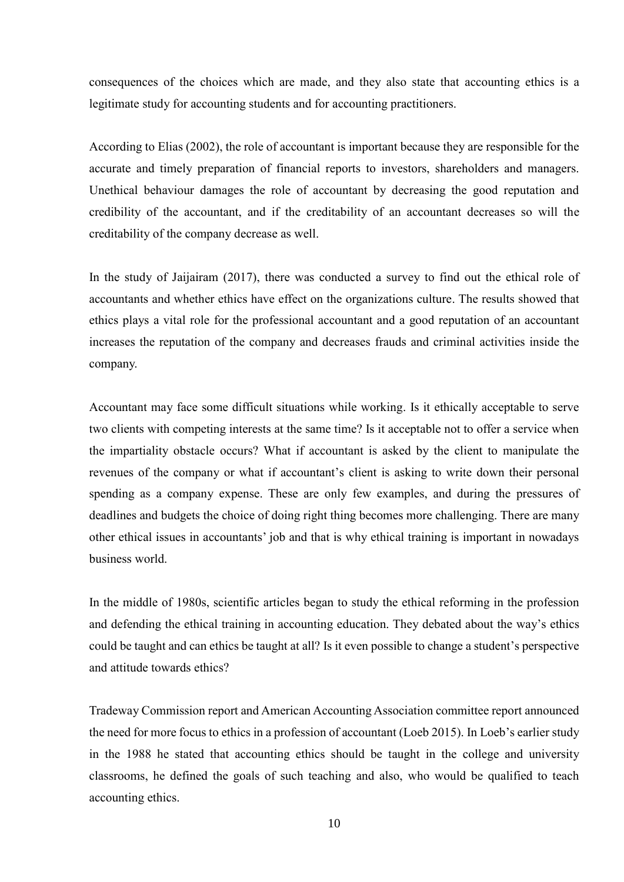consequences of the choices which are made, and they also state that accounting ethics is a legitimate study for accounting students and for accounting practitioners.

According to Elias (2002), the role of accountant is important because they are responsible for the accurate and timely preparation of financial reports to investors, shareholders and managers. Unethical behaviour damages the role of accountant by decreasing the good reputation and credibility of the accountant, and if the creditability of an accountant decreases so will the creditability of the company decrease as well.

In the study of Jaijairam (2017), there was conducted a survey to find out the ethical role of accountants and whether ethics have effect on the organizations culture. The results showed that ethics plays a vital role for the professional accountant and a good reputation of an accountant increases the reputation of the company and decreases frauds and criminal activities inside the company.

Accountant may face some difficult situations while working. Is it ethically acceptable to serve two clients with competing interests at the same time? Is it acceptable not to offer a service when the impartiality obstacle occurs? What if accountant is asked by the client to manipulate the revenues of the company or what if accountant's client is asking to write down their personal spending as a company expense. These are only few examples, and during the pressures of deadlines and budgets the choice of doing right thing becomes more challenging. There are many other ethical issues in accountants' job and that is why ethical training is important in nowadays business world.

In the middle of 1980s, scientific articles began to study the ethical reforming in the profession and defending the ethical training in accounting education. They debated about the way's ethics could be taught and can ethics be taught at all? Is it even possible to change a student's perspective and attitude towards ethics?

Tradeway Commission report and American Accounting Association committee report announced the need for more focus to ethics in a profession of accountant (Loeb 2015). In Loeb's earlier study in the 1988 he stated that accounting ethics should be taught in the college and university classrooms, he defined the goals of such teaching and also, who would be qualified to teach accounting ethics.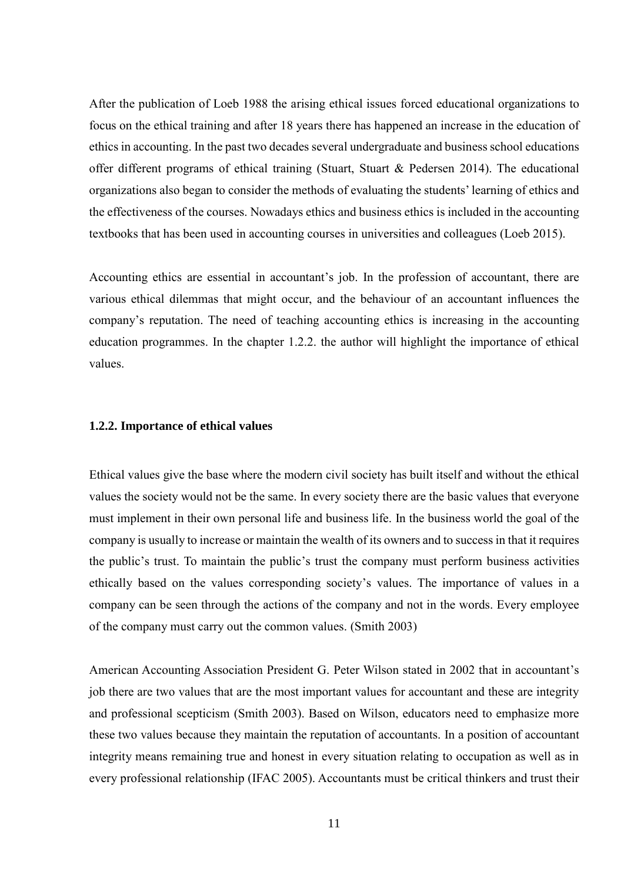After the publication of Loeb 1988 the arising ethical issues forced educational organizations to focus on the ethical training and after 18 years there has happened an increase in the education of ethics in accounting. In the past two decades several undergraduate and business school educations offer different programs of ethical training (Stuart, Stuart & Pedersen 2014). The educational organizations also began to consider the methods of evaluating the students' learning of ethics and the effectiveness of the courses. Nowadays ethics and business ethics is included in the accounting textbooks that has been used in accounting courses in universities and colleagues (Loeb 2015).

Accounting ethics are essential in accountant's job. In the profession of accountant, there are various ethical dilemmas that might occur, and the behaviour of an accountant influences the company's reputation. The need of teaching accounting ethics is increasing in the accounting education programmes. In the chapter 1.2.2. the author will highlight the importance of ethical values.

#### <span id="page-10-0"></span>**1.2.2. Importance of ethical values**

Ethical values give the base where the modern civil society has built itself and without the ethical values the society would not be the same. In every society there are the basic values that everyone must implement in their own personal life and business life. In the business world the goal of the company is usually to increase or maintain the wealth of its owners and to success in that it requires the public's trust. To maintain the public's trust the company must perform business activities ethically based on the values corresponding society's values. The importance of values in a company can be seen through the actions of the company and not in the words. Every employee of the company must carry out the common values. (Smith 2003)

American Accounting Association President G. Peter Wilson stated in 2002 that in accountant's job there are two values that are the most important values for accountant and these are integrity and professional scepticism (Smith 2003). Based on Wilson, educators need to emphasize more these two values because they maintain the reputation of accountants. In a position of accountant integrity means remaining true and honest in every situation relating to occupation as well as in every professional relationship (IFAC 2005). Accountants must be critical thinkers and trust their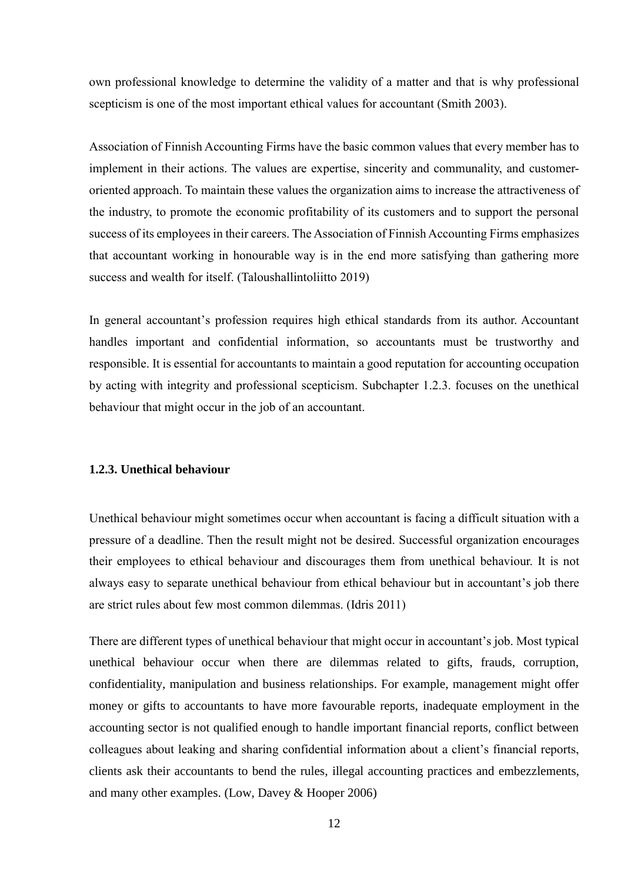own professional knowledge to determine the validity of a matter and that is why professional scepticism is one of the most important ethical values for accountant (Smith 2003).

Association of Finnish Accounting Firms have the basic common values that every member has to implement in their actions. The values are expertise, sincerity and communality, and customeroriented approach. To maintain these values the organization aims to increase the attractiveness of the industry, to promote the economic profitability of its customers and to support the personal success of its employees in their careers. The Association of Finnish Accounting Firms emphasizes that accountant working in honourable way is in the end more satisfying than gathering more success and wealth for itself. (Taloushallintoliitto 2019)

In general accountant's profession requires high ethical standards from its author. Accountant handles important and confidential information, so accountants must be trustworthy and responsible. It is essential for accountants to maintain a good reputation for accounting occupation by acting with integrity and professional scepticism. Subchapter 1.2.3. focuses on the unethical behaviour that might occur in the job of an accountant.

### <span id="page-11-0"></span>**1.2.3. Unethical behaviour**

Unethical behaviour might sometimes occur when accountant is facing a difficult situation with a pressure of a deadline. Then the result might not be desired. Successful organization encourages their employees to ethical behaviour and discourages them from unethical behaviour. It is not always easy to separate unethical behaviour from ethical behaviour but in accountant's job there are strict rules about few most common dilemmas. (Idris 2011)

There are different types of unethical behaviour that might occur in accountant's job. Most typical unethical behaviour occur when there are dilemmas related to gifts, frauds, corruption, confidentiality, manipulation and business relationships. For example, management might offer money or gifts to accountants to have more favourable reports, inadequate employment in the accounting sector is not qualified enough to handle important financial reports, conflict between colleagues about leaking and sharing confidential information about a client's financial reports, clients ask their accountants to bend the rules, illegal accounting practices and embezzlements, and many other examples. (Low, Davey & Hooper 2006)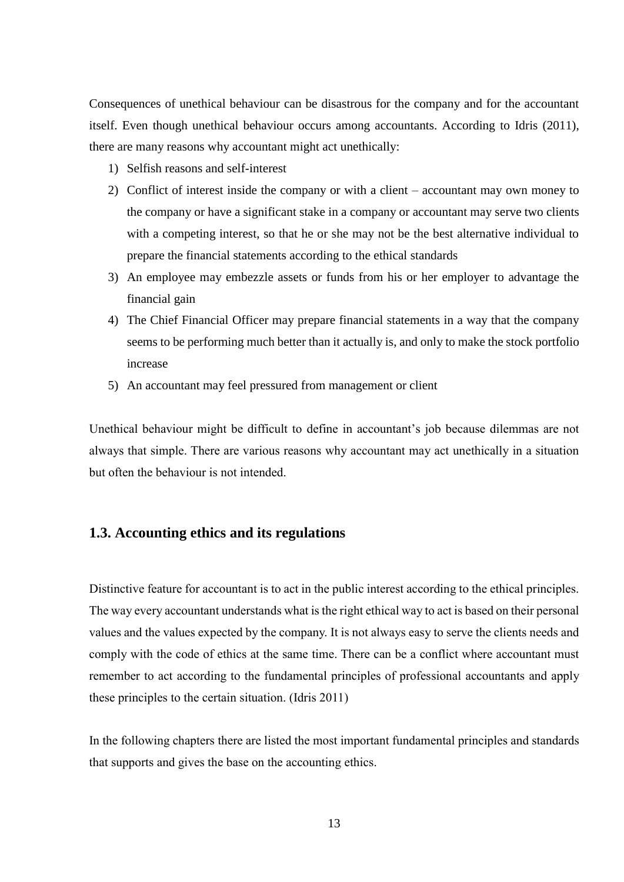Consequences of unethical behaviour can be disastrous for the company and for the accountant itself. Even though unethical behaviour occurs among accountants. According to Idris (2011), there are many reasons why accountant might act unethically:

- 1) Selfish reasons and self-interest
- 2) Conflict of interest inside the company or with a client accountant may own money to the company or have a significant stake in a company or accountant may serve two clients with a competing interest, so that he or she may not be the best alternative individual to prepare the financial statements according to the ethical standards
- 3) An employee may embezzle assets or funds from his or her employer to advantage the financial gain
- 4) The Chief Financial Officer may prepare financial statements in a way that the company seems to be performing much better than it actually is, and only to make the stock portfolio increase
- 5) An accountant may feel pressured from management or client

Unethical behaviour might be difficult to define in accountant's job because dilemmas are not always that simple. There are various reasons why accountant may act unethically in a situation but often the behaviour is not intended.

### <span id="page-12-0"></span>**1.3. Accounting ethics and its regulations**

Distinctive feature for accountant is to act in the public interest according to the ethical principles. The way every accountant understands what is the right ethical way to act is based on their personal values and the values expected by the company. It is not always easy to serve the clients needs and comply with the code of ethics at the same time. There can be a conflict where accountant must remember to act according to the fundamental principles of professional accountants and apply these principles to the certain situation. (Idris 2011)

In the following chapters there are listed the most important fundamental principles and standards that supports and gives the base on the accounting ethics.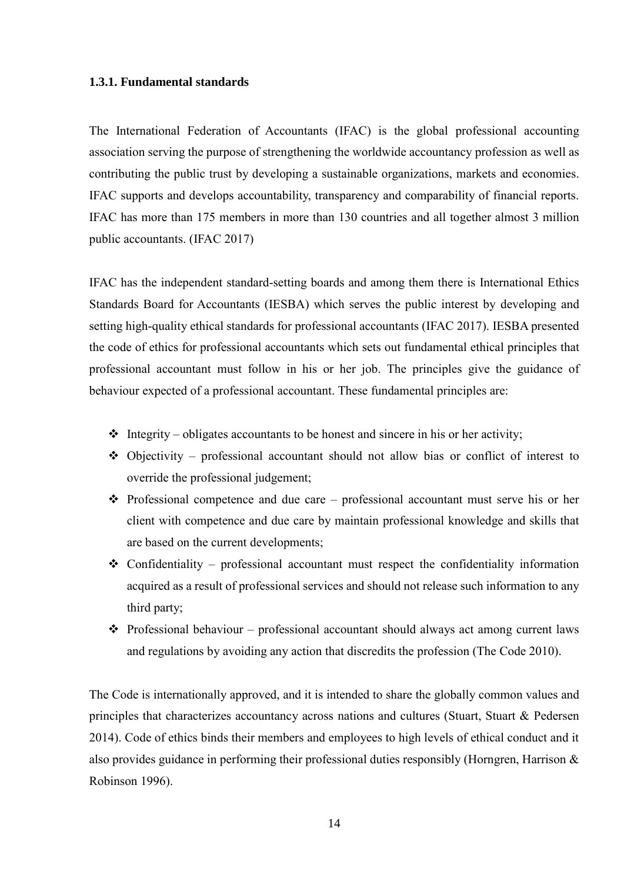#### <span id="page-13-0"></span>**1.3.1. Fundamental standards**

The International Federation of Accountants (IFAC) is the global professional accounting association serving the purpose of strengthening the worldwide accountancy profession as well as contributing the public trust by developing a sustainable organizations, markets and economies. IFAC supports and develops accountability, transparency and comparability of financial reports. IFAC has more than 175 members in more than 130 countries and all together almost 3 million public accountants. (IFAC 2017)

IFAC has the independent standard-setting boards and among them there is International Ethics Standards Board for Accountants (IESBA) which serves the public interest by developing and setting high-quality ethical standards for professional accountants (IFAC 2017). IESBA presented the code of ethics for professional accountants which sets out fundamental ethical principles that professional accountant must follow in his or her job. The principles give the guidance of behaviour expected of a professional accountant. These fundamental principles are:

- $\triangleleft$  Integrity obligates accountants to be honest and sincere in his or her activity;
- ❖ Objectivity professional accountant should not allow bias or conflict of interest to override the professional judgement;
- ❖ Professional competence and due care professional accountant must serve his or her client with competence and due care by maintain professional knowledge and skills that are based on the current developments;
- $\triangle$  Confidentiality professional accountant must respect the confidentiality information acquired as a result of professional services and should not release such information to any third party;
- $\triangle$  Professional behaviour professional accountant should always act among current laws and regulations by avoiding any action that discredits the profession (The Code 2010).

The Code is internationally approved, and it is intended to share the globally common values and principles that characterizes accountancy across nations and cultures (Stuart, Stuart & Pedersen 2014). Code of ethics binds their members and employees to high levels of ethical conduct and it also provides guidance in performing their professional duties responsibly (Horngren, Harrison & Robinson 1996).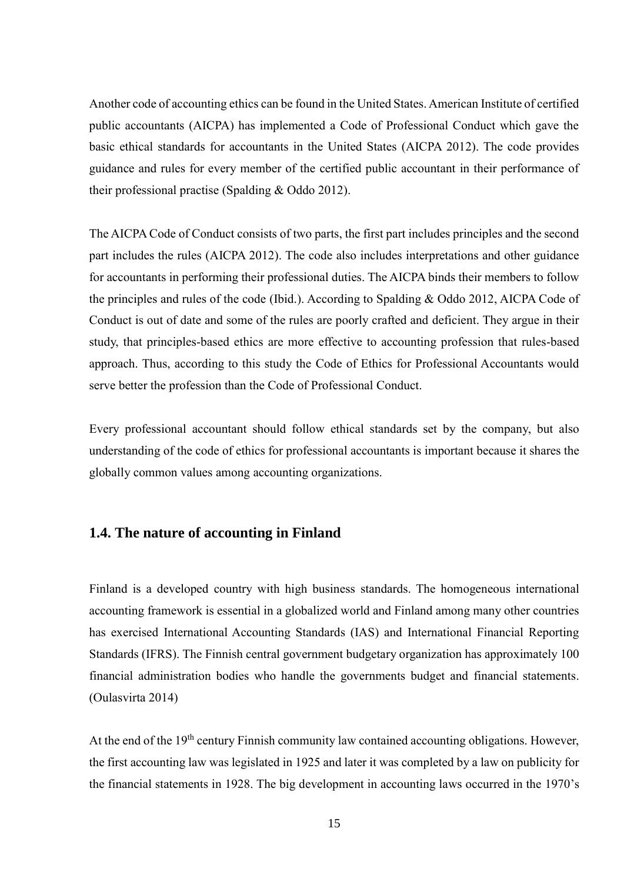Another code of accounting ethics can be found in the United States. American Institute of certified public accountants (AICPA) has implemented a Code of Professional Conduct which gave the basic ethical standards for accountants in the United States (AICPA 2012). The code provides guidance and rules for every member of the certified public accountant in their performance of their professional practise (Spalding & Oddo 2012).

The AICPA Code of Conduct consists of two parts, the first part includes principles and the second part includes the rules (AICPA 2012). The code also includes interpretations and other guidance for accountants in performing their professional duties. The AICPA binds their members to follow the principles and rules of the code (Ibid.). According to Spalding & Oddo 2012, AICPA Code of Conduct is out of date and some of the rules are poorly crafted and deficient. They argue in their study, that principles-based ethics are more effective to accounting profession that rules-based approach. Thus, according to this study the Code of Ethics for Professional Accountants would serve better the profession than the Code of Professional Conduct.

Every professional accountant should follow ethical standards set by the company, but also understanding of the code of ethics for professional accountants is important because it shares the globally common values among accounting organizations.

### <span id="page-14-0"></span>**1.4. The nature of accounting in Finland**

Finland is a developed country with high business standards. The homogeneous international accounting framework is essential in a globalized world and Finland among many other countries has exercised International Accounting Standards (IAS) and International Financial Reporting Standards (IFRS). The Finnish central government budgetary organization has approximately 100 financial administration bodies who handle the governments budget and financial statements. (Oulasvirta 2014)

At the end of the 19<sup>th</sup> century Finnish community law contained accounting obligations. However, the first accounting law was legislated in 1925 and later it was completed by a law on publicity for the financial statements in 1928. The big development in accounting laws occurred in the 1970's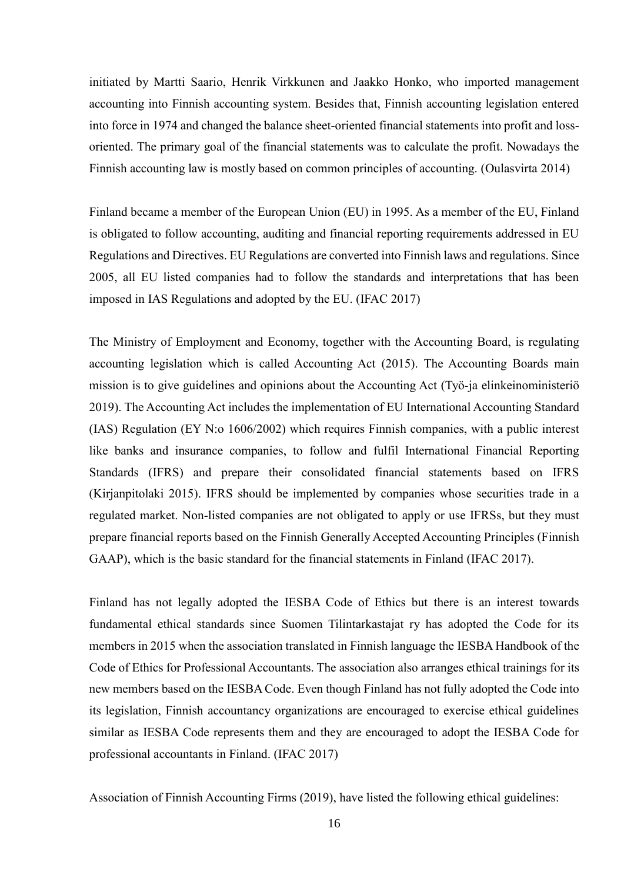initiated by Martti Saario, Henrik Virkkunen and Jaakko Honko, who imported management accounting into Finnish accounting system. Besides that, Finnish accounting legislation entered into force in 1974 and changed the balance sheet-oriented financial statements into profit and lossoriented. The primary goal of the financial statements was to calculate the profit. Nowadays the Finnish accounting law is mostly based on common principles of accounting. (Oulasvirta 2014)

Finland became a member of the European Union (EU) in 1995. As a member of the EU, Finland is obligated to follow accounting, auditing and financial reporting requirements addressed in EU Regulations and Directives. EU Regulations are converted into Finnish laws and regulations. Since 2005, all EU listed companies had to follow the standards and interpretations that has been imposed in IAS Regulations and adopted by the EU. (IFAC 2017)

The Ministry of Employment and Economy, together with the Accounting Board, is regulating accounting legislation which is called Accounting Act (2015). The Accounting Boards main mission is to give guidelines and opinions about the Accounting Act (Työ-ja elinkeinoministeriö 2019). The Accounting Act includes the implementation of EU International Accounting Standard (IAS) Regulation (EY N:o 1606/2002) which requires Finnish companies, with a public interest like banks and insurance companies, to follow and fulfil International Financial Reporting Standards (IFRS) and prepare their consolidated financial statements based on IFRS (Kirjanpitolaki 2015). IFRS should be implemented by companies whose securities trade in a regulated market. Non-listed companies are not obligated to apply or use IFRSs, but they must prepare financial reports based on the Finnish Generally Accepted Accounting Principles (Finnish GAAP), which is the basic standard for the financial statements in Finland (IFAC 2017).

Finland has not legally adopted the IESBA Code of Ethics but there is an interest towards fundamental ethical standards since Suomen Tilintarkastajat ry has adopted the Code for its members in 2015 when the association translated in Finnish language the IESBA Handbook of the Code of Ethics for Professional Accountants. The association also arranges ethical trainings for its new members based on the IESBA Code. Even though Finland has not fully adopted the Code into its legislation, Finnish accountancy organizations are encouraged to exercise ethical guidelines similar as IESBA Code represents them and they are encouraged to adopt the IESBA Code for professional accountants in Finland. (IFAC 2017)

Association of Finnish Accounting Firms (2019), have listed the following ethical guidelines: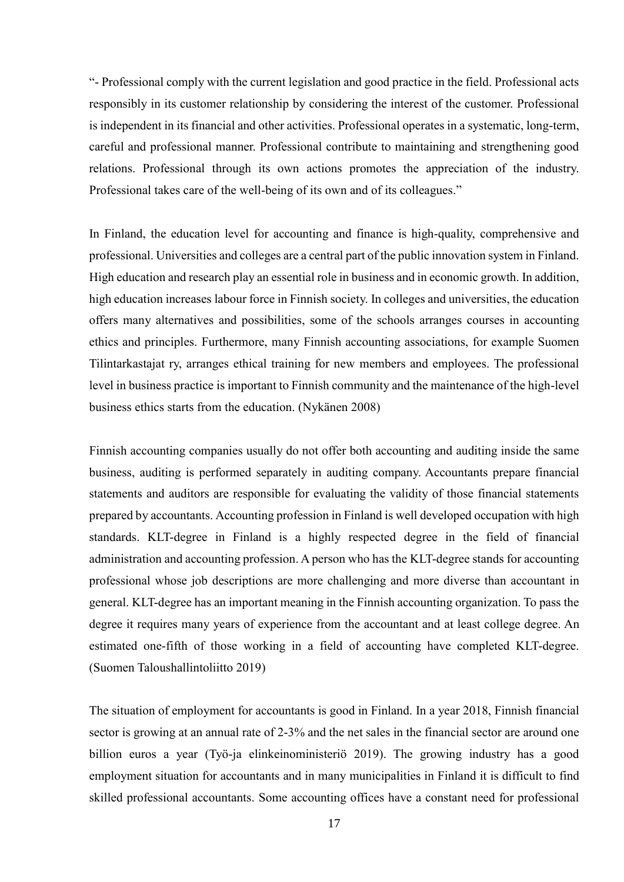"- Professional comply with the current legislation and good practice in the field. Professional acts responsibly in its customer relationship by considering the interest of the customer. Professional is independent in its financial and other activities. Professional operates in a systematic, long-term, careful and professional manner. Professional contribute to maintaining and strengthening good relations. Professional through its own actions promotes the appreciation of the industry. Professional takes care of the well-being of its own and of its colleagues."

In Finland, the education level for accounting and finance is high-quality, comprehensive and professional. Universities and colleges are a central part of the public innovation system in Finland. High education and research play an essential role in business and in economic growth. In addition, high education increases labour force in Finnish society. In colleges and universities, the education offers many alternatives and possibilities, some of the schools arranges courses in accounting ethics and principles. Furthermore, many Finnish accounting associations, for example Suomen Tilintarkastajat ry, arranges ethical training for new members and employees. The professional level in business practice is important to Finnish community and the maintenance of the high-level business ethics starts from the education. (Nykänen 2008)

Finnish accounting companies usually do not offer both accounting and auditing inside the same business, auditing is performed separately in auditing company. Accountants prepare financial statements and auditors are responsible for evaluating the validity of those financial statements prepared by accountants. Accounting profession in Finland is well developed occupation with high standards. KLT-degree in Finland is a highly respected degree in the field of financial administration and accounting profession. A person who has the KLT-degree stands for accounting professional whose job descriptions are more challenging and more diverse than accountant in general. KLT-degree has an important meaning in the Finnish accounting organization. To pass the degree it requires many years of experience from the accountant and at least college degree. An estimated one-fifth of those working in a field of accounting have completed KLT-degree. (Suomen Taloushallintoliitto 2019)

The situation of employment for accountants is good in Finland. In a year 2018, Finnish financial sector is growing at an annual rate of 2-3% and the net sales in the financial sector are around one billion euros a year (Työ-ja elinkeinoministeriö 2019). The growing industry has a good employment situation for accountants and in many municipalities in Finland it is difficult to find skilled professional accountants. Some accounting offices have a constant need for professional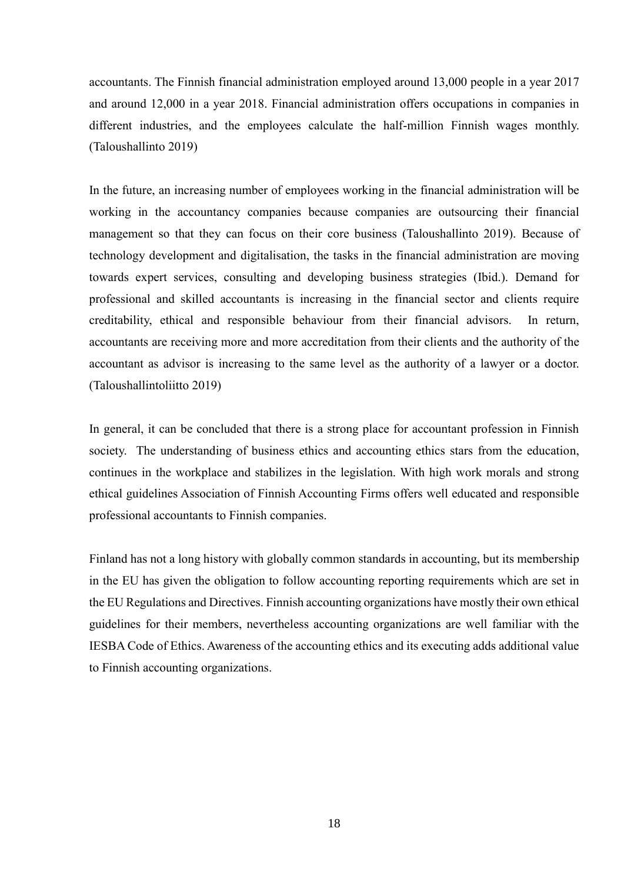accountants. The Finnish financial administration employed around 13,000 people in a year 2017 and around 12,000 in a year 2018. Financial administration offers occupations in companies in different industries, and the employees calculate the half-million Finnish wages monthly. (Taloushallinto 2019)

In the future, an increasing number of employees working in the financial administration will be working in the accountancy companies because companies are outsourcing their financial management so that they can focus on their core business (Taloushallinto 2019). Because of technology development and digitalisation, the tasks in the financial administration are moving towards expert services, consulting and developing business strategies (Ibid.). Demand for professional and skilled accountants is increasing in the financial sector and clients require creditability, ethical and responsible behaviour from their financial advisors. In return, accountants are receiving more and more accreditation from their clients and the authority of the accountant as advisor is increasing to the same level as the authority of a lawyer or a doctor. (Taloushallintoliitto 2019)

In general, it can be concluded that there is a strong place for accountant profession in Finnish society. The understanding of business ethics and accounting ethics stars from the education, continues in the workplace and stabilizes in the legislation. With high work morals and strong ethical guidelines Association of Finnish Accounting Firms offers well educated and responsible professional accountants to Finnish companies.

Finland has not a long history with globally common standards in accounting, but its membership in the EU has given the obligation to follow accounting reporting requirements which are set in the EU Regulations and Directives. Finnish accounting organizations have mostly their own ethical guidelines for their members, nevertheless accounting organizations are well familiar with the IESBA Code of Ethics. Awareness of the accounting ethics and its executing adds additional value to Finnish accounting organizations.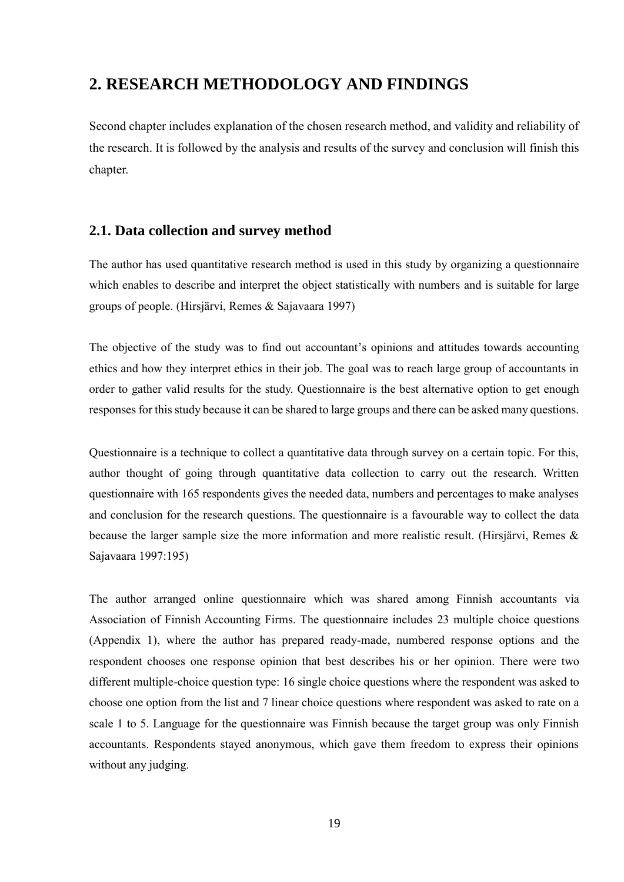### <span id="page-18-0"></span>**2. RESEARCH METHODOLOGY AND FINDINGS**

Second chapter includes explanation of the chosen research method, and validity and reliability of the research. It is followed by the analysis and results of the survey and conclusion will finish this chapter.

### <span id="page-18-1"></span>**2.1. Data collection and survey method**

The author has used quantitative research method is used in this study by organizing a questionnaire which enables to describe and interpret the object statistically with numbers and is suitable for large groups of people. (Hirsjärvi, Remes & Sajavaara 1997)

The objective of the study was to find out accountant's opinions and attitudes towards accounting ethics and how they interpret ethics in their job. The goal was to reach large group of accountants in order to gather valid results for the study. Questionnaire is the best alternative option to get enough responses for this study because it can be shared to large groups and there can be asked many questions.

Questionnaire is a technique to collect a quantitative data through survey on a certain topic. For this, author thought of going through quantitative data collection to carry out the research. Written questionnaire with 165 respondents gives the needed data, numbers and percentages to make analyses and conclusion for the research questions. The questionnaire is a favourable way to collect the data because the larger sample size the more information and more realistic result. (Hirsjärvi, Remes & Sajavaara 1997:195)

The author arranged online questionnaire which was shared among Finnish accountants via Association of Finnish Accounting Firms. The questionnaire includes 23 multiple choice questions (Appendix 1), where the author has prepared ready-made, numbered response options and the respondent chooses one response opinion that best describes his or her opinion. There were two different multiple-choice question type: 16 single choice questions where the respondent was asked to choose one option from the list and 7 linear choice questions where respondent was asked to rate on a scale 1 to 5. Language for the questionnaire was Finnish because the target group was only Finnish accountants. Respondents stayed anonymous, which gave them freedom to express their opinions without any judging.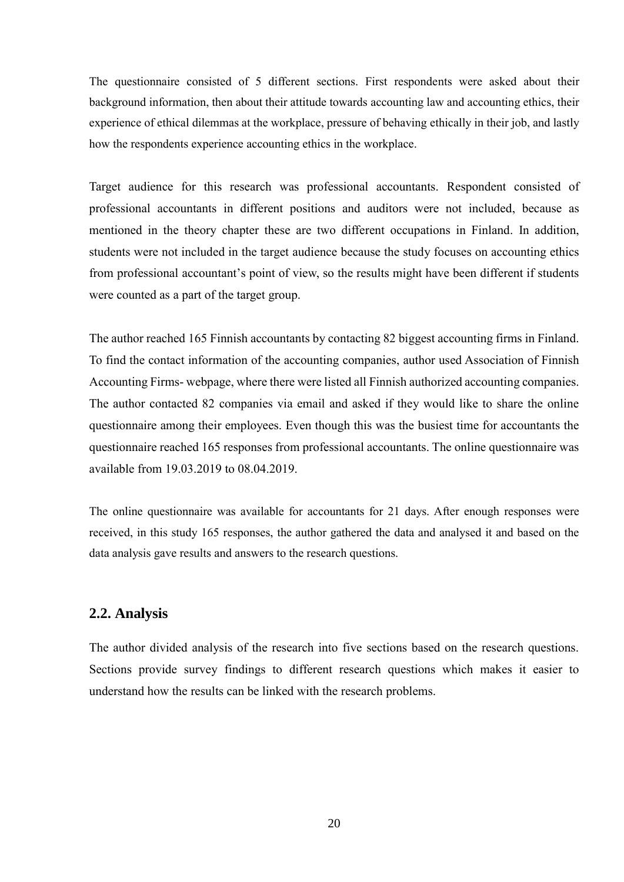The questionnaire consisted of 5 different sections. First respondents were asked about their background information, then about their attitude towards accounting law and accounting ethics, their experience of ethical dilemmas at the workplace, pressure of behaving ethically in their job, and lastly how the respondents experience accounting ethics in the workplace.

Target audience for this research was professional accountants. Respondent consisted of professional accountants in different positions and auditors were not included, because as mentioned in the theory chapter these are two different occupations in Finland. In addition, students were not included in the target audience because the study focuses on accounting ethics from professional accountant's point of view, so the results might have been different if students were counted as a part of the target group.

The author reached 165 Finnish accountants by contacting 82 biggest accounting firms in Finland. To find the contact information of the accounting companies, author used Association of Finnish Accounting Firms- webpage, where there were listed all Finnish authorized accounting companies. The author contacted 82 companies via email and asked if they would like to share the online questionnaire among their employees. Even though this was the busiest time for accountants the questionnaire reached 165 responses from professional accountants. The online questionnaire was available from 19.03.2019 to 08.04.2019.

The online questionnaire was available for accountants for 21 days. After enough responses were received, in this study 165 responses, the author gathered the data and analysed it and based on the data analysis gave results and answers to the research questions.

### <span id="page-19-0"></span>**2.2. Analysis**

The author divided analysis of the research into five sections based on the research questions. Sections provide survey findings to different research questions which makes it easier to understand how the results can be linked with the research problems.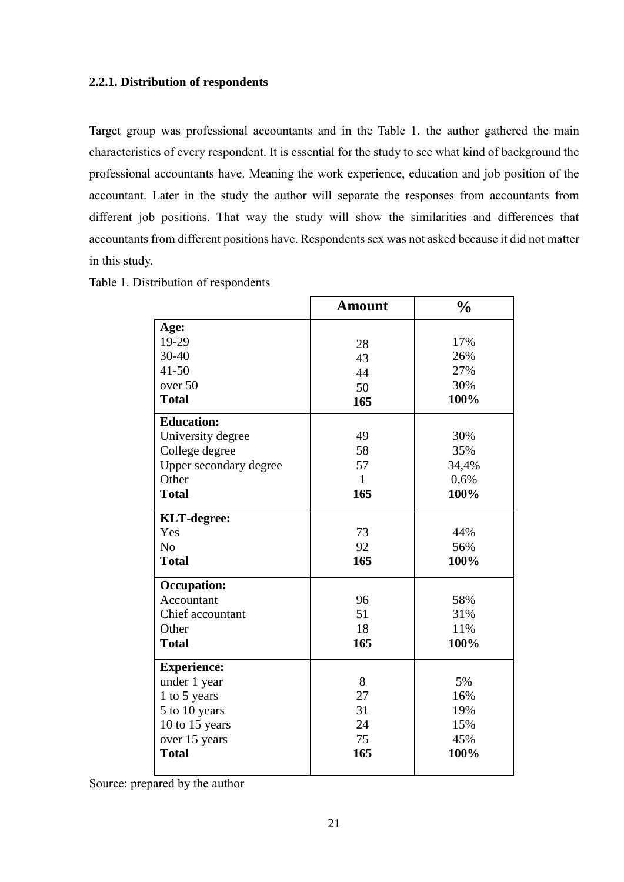### <span id="page-20-0"></span>**2.2.1. Distribution of respondents**

Target group was professional accountants and in the Table 1. the author gathered the main characteristics of every respondent. It is essential for the study to see what kind of background the professional accountants have. Meaning the work experience, education and job position of the accountant. Later in the study the author will separate the responses from accountants from different job positions. That way the study will show the similarities and differences that accountants from different positions have. Respondents sex was not asked because it did not matter in this study.

| Table 1. Distribution of respondents |  |
|--------------------------------------|--|
|--------------------------------------|--|

|                        | <b>Amount</b> | $\frac{0}{0}$ |
|------------------------|---------------|---------------|
| Age:                   |               |               |
| 19-29                  | 28            | 17%           |
| 30-40                  | 43            | 26%           |
| $41 - 50$              | 44            | 27%           |
| over 50                | 50            | 30%           |
| <b>Total</b>           | 165           | 100%          |
| <b>Education:</b>      |               |               |
| University degree      | 49            | 30%           |
| College degree         | 58            | 35%           |
| Upper secondary degree | 57            | 34,4%         |
| Other                  | $\mathbf{1}$  | 0,6%          |
| <b>Total</b>           | 165           | 100%          |
| <b>KLT-degree:</b>     |               |               |
| Yes                    | 73            | 44%           |
| N <sub>o</sub>         | 92            | 56%           |
| <b>Total</b>           | 165           | 100%          |
| <b>Occupation:</b>     |               |               |
| Accountant             | 96            | 58%           |
| Chief accountant       | 51            | 31%           |
| Other                  | 18            | 11%           |
| <b>Total</b>           | 165           | 100%          |
| <b>Experience:</b>     |               |               |
| under 1 year           | 8             | 5%            |
| 1 to 5 years           | 27            | 16%           |
| 5 to 10 years          | 31            | 19%           |
| 10 to 15 years         | 24            | 15%           |
| over 15 years          | 75            | 45%           |
| <b>Total</b>           | 165           | 100%          |

Source: prepared by the author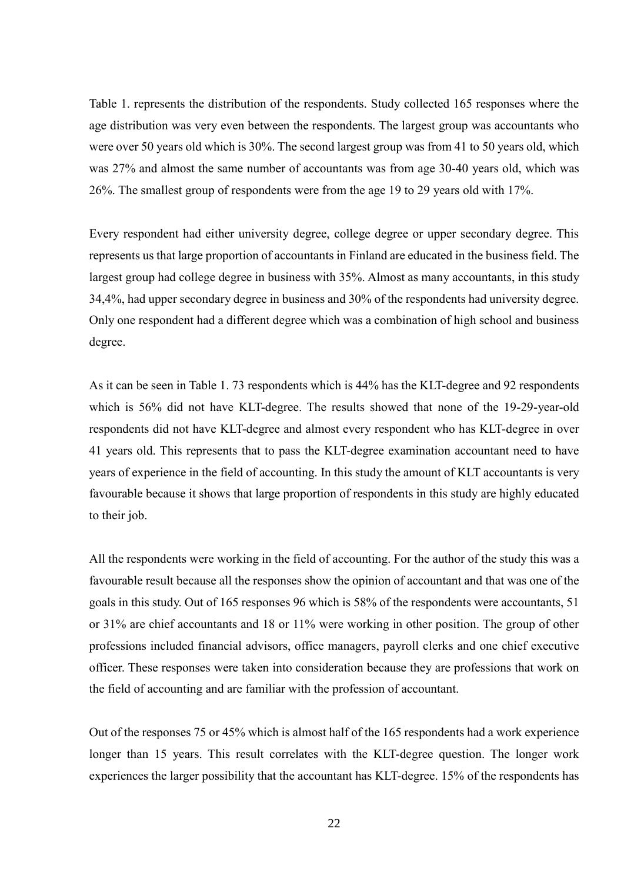Table 1. represents the distribution of the respondents. Study collected 165 responses where the age distribution was very even between the respondents. The largest group was accountants who were over 50 years old which is 30%. The second largest group was from 41 to 50 years old, which was 27% and almost the same number of accountants was from age 30-40 years old, which was 26%. The smallest group of respondents were from the age 19 to 29 years old with 17%.

Every respondent had either university degree, college degree or upper secondary degree. This represents us that large proportion of accountants in Finland are educated in the business field. The largest group had college degree in business with 35%. Almost as many accountants, in this study 34,4%, had upper secondary degree in business and 30% of the respondents had university degree. Only one respondent had a different degree which was a combination of high school and business degree.

As it can be seen in Table 1. 73 respondents which is 44% has the KLT-degree and 92 respondents which is 56% did not have KLT-degree. The results showed that none of the 19-29-year-old respondents did not have KLT-degree and almost every respondent who has KLT-degree in over 41 years old. This represents that to pass the KLT-degree examination accountant need to have years of experience in the field of accounting. In this study the amount of KLT accountants is very favourable because it shows that large proportion of respondents in this study are highly educated to their job.

All the respondents were working in the field of accounting. For the author of the study this was a favourable result because all the responses show the opinion of accountant and that was one of the goals in this study. Out of 165 responses 96 which is 58% of the respondents were accountants, 51 or 31% are chief accountants and 18 or 11% were working in other position. The group of other professions included financial advisors, office managers, payroll clerks and one chief executive officer. These responses were taken into consideration because they are professions that work on the field of accounting and are familiar with the profession of accountant.

Out of the responses 75 or 45% which is almost half of the 165 respondents had a work experience longer than 15 years. This result correlates with the KLT-degree question. The longer work experiences the larger possibility that the accountant has KLT-degree. 15% of the respondents has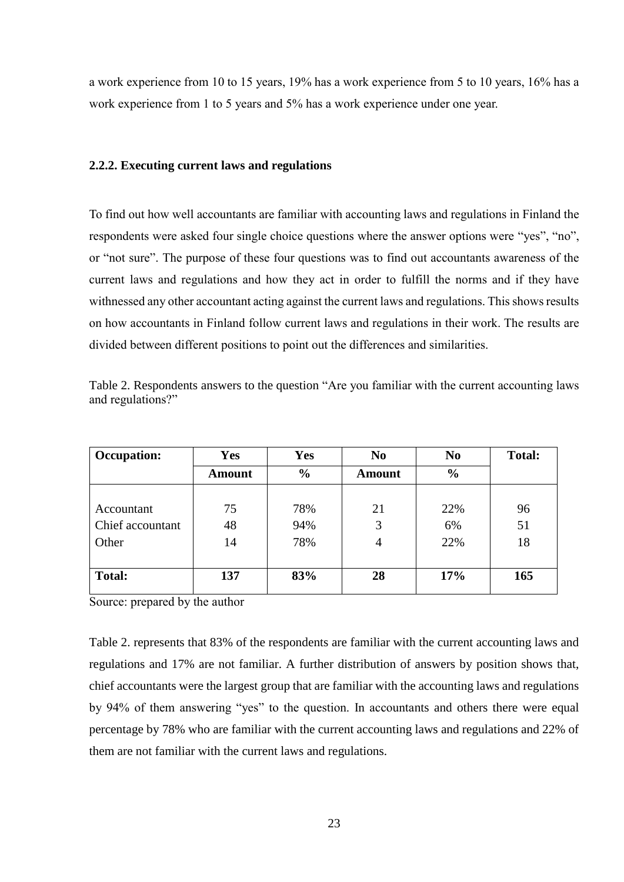a work experience from 10 to 15 years, 19% has a work experience from 5 to 10 years, 16% has a work experience from 1 to 5 years and 5% has a work experience under one year.

#### <span id="page-22-0"></span>**2.2.2. Executing current laws and regulations**

To find out how well accountants are familiar with accounting laws and regulations in Finland the respondents were asked four single choice questions where the answer options were "yes", "no", or "not sure". The purpose of these four questions was to find out accountants awareness of the current laws and regulations and how they act in order to fulfill the norms and if they have withnessed any other accountant acting against the current laws and regulations. This shows results on how accountants in Finland follow current laws and regulations in their work. The results are divided between different positions to point out the differences and similarities.

| <b>Occupation:</b> | <b>Yes</b>    | <b>Yes</b>    | N <sub>0</sub> | N <sub>0</sub> | <b>Total:</b> |
|--------------------|---------------|---------------|----------------|----------------|---------------|
|                    | <b>Amount</b> | $\frac{6}{6}$ | Amount         | $\frac{6}{6}$  |               |
|                    |               |               |                |                |               |
| Accountant         | 75            | 78%           | 21             | 22%            | 96            |
| Chief accountant   | 48            | 94%           | 3              | 6%             | 51            |
| Other              | 14            | 78%           | 4              | 22%            | 18            |
|                    |               |               |                |                |               |
| <b>Total:</b>      | 137           | 83%           | 28             | 17%            | 165           |
|                    |               |               |                |                |               |

Table 2. Respondents answers to the question "Are you familiar with the current accounting laws and regulations?"

Source: prepared by the author

Table 2. represents that 83% of the respondents are familiar with the current accounting laws and regulations and 17% are not familiar. A further distribution of answers by position shows that, chief accountants were the largest group that are familiar with the accounting laws and regulations by 94% of them answering "yes" to the question. In accountants and others there were equal percentage by 78% who are familiar with the current accounting laws and regulations and 22% of them are not familiar with the current laws and regulations.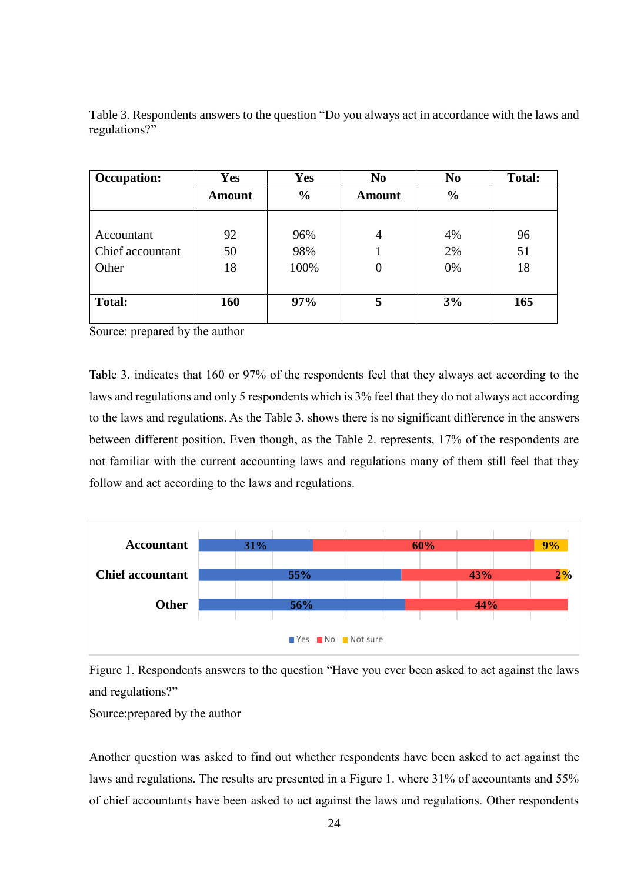| <b>Occupation:</b> | <b>Yes</b>    | <b>Yes</b>    | N <sub>0</sub>   | N <sub>0</sub> | <b>Total:</b> |
|--------------------|---------------|---------------|------------------|----------------|---------------|
|                    | <b>Amount</b> | $\frac{6}{6}$ | Amount           | $\frac{6}{6}$  |               |
|                    |               |               |                  |                |               |
| Accountant         | 92            | 96%           | $\overline{4}$   | 4%             | 96            |
| Chief accountant   | 50            | 98%           |                  | 2%             | 51            |
| Other              | 18            | 100%          | $\boldsymbol{0}$ | 0%             | 18            |
|                    |               |               |                  |                |               |
| <b>Total:</b>      | 160           | 97%           | 5                | 3%             | 165           |
|                    |               |               |                  |                |               |

Table 3. Respondents answers to the question "Do you always act in accordance with the laws and regulations?"

Source: prepared by the author

Table 3. indicates that 160 or 97% of the respondents feel that they always act according to the laws and regulations and only 5 respondents which is 3% feel that they do not always act according to the laws and regulations. As the Table 3. shows there is no significant difference in the answers between different position. Even though, as the Table 2. represents, 17% of the respondents are not familiar with the current accounting laws and regulations many of them still feel that they follow and act according to the laws and regulations.



Figure 1. Respondents answers to the question "Have you ever been asked to act against the laws and regulations?"

Source:prepared by the author

Another question was asked to find out whether respondents have been asked to act against the laws and regulations. The results are presented in a Figure 1. where 31% of accountants and 55% of chief accountants have been asked to act against the laws and regulations. Other respondents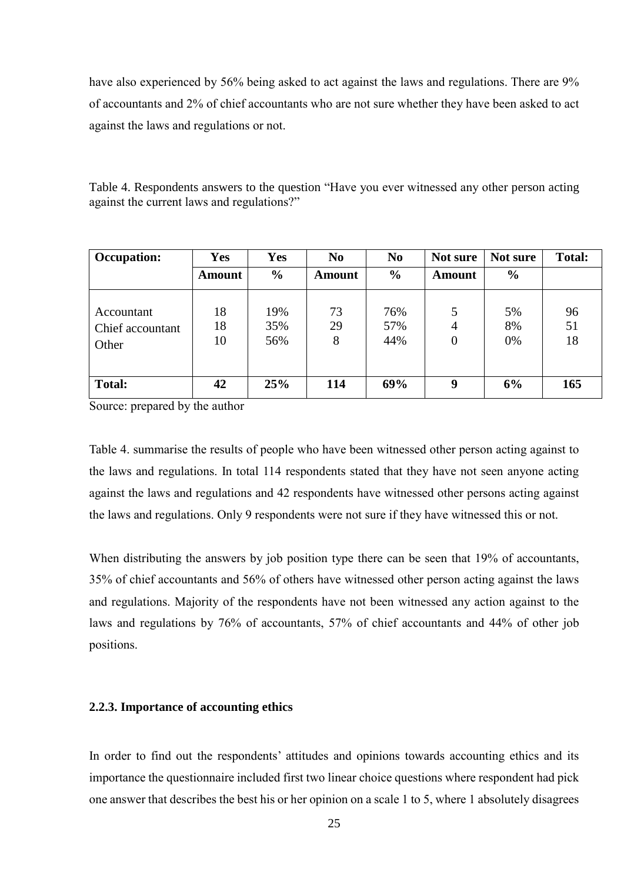have also experienced by 56% being asked to act against the laws and regulations. There are 9% of accountants and 2% of chief accountants who are not sure whether they have been asked to act against the laws and regulations or not.

Table 4. Respondents answers to the question "Have you ever witnessed any other person acting against the current laws and regulations?"

| <b>Occupation:</b>                      | <b>Yes</b>     | <b>Yes</b>        | N <sub>0</sub> | N <sub>0</sub>    | Not sure                              | Not sure       | <b>Total:</b>  |
|-----------------------------------------|----------------|-------------------|----------------|-------------------|---------------------------------------|----------------|----------------|
|                                         | <b>Amount</b>  | $\frac{0}{0}$     | <b>Amount</b>  | $\frac{6}{6}$     | <b>Amount</b>                         | $\frac{6}{6}$  |                |
| Accountant<br>Chief accountant<br>Other | 18<br>18<br>10 | 19%<br>35%<br>56% | 73<br>29<br>8  | 76%<br>57%<br>44% | 5<br>$\overline{4}$<br>$\overline{0}$ | 5%<br>8%<br>0% | 96<br>51<br>18 |
| <b>Total:</b>                           | 42             | 25%               | 114            | 69%               | <b>Q</b>                              | 6%             | 165            |

Source: prepared by the author

Table 4. summarise the results of people who have been witnessed other person acting against to the laws and regulations. In total 114 respondents stated that they have not seen anyone acting against the laws and regulations and 42 respondents have witnessed other persons acting against the laws and regulations. Only 9 respondents were not sure if they have witnessed this or not.

When distributing the answers by job position type there can be seen that 19% of accountants, 35% of chief accountants and 56% of others have witnessed other person acting against the laws and regulations. Majority of the respondents have not been witnessed any action against to the laws and regulations by 76% of accountants, 57% of chief accountants and 44% of other job positions.

### <span id="page-24-0"></span>**2.2.3. Importance of accounting ethics**

In order to find out the respondents' attitudes and opinions towards accounting ethics and its importance the questionnaire included first two linear choice questions where respondent had pick one answer that describes the best his or her opinion on a scale 1 to 5, where 1 absolutely disagrees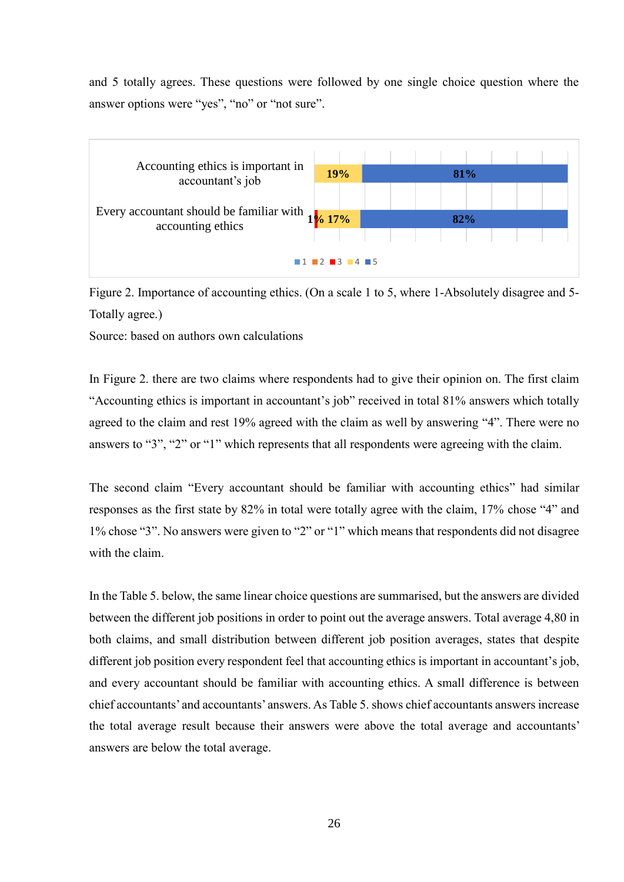and 5 totally agrees. These questions were followed by one single choice question where the answer options were "yes", "no" or "not sure".



Figure 2. Importance of accounting ethics. (On a scale 1 to 5, where 1-Absolutely disagree and 5- Totally agree.)

Source: based on authors own calculations

In Figure 2. there are two claims where respondents had to give their opinion on. The first claim "Accounting ethics is important in accountant's job" received in total 81% answers which totally agreed to the claim and rest 19% agreed with the claim as well by answering "4". There were no answers to "3", "2" or "1" which represents that all respondents were agreeing with the claim.

The second claim "Every accountant should be familiar with accounting ethics" had similar responses as the first state by 82% in total were totally agree with the claim, 17% chose "4" and 1% chose "3". No answers were given to "2" or "1" which means that respondents did not disagree with the claim.

In the Table 5. below, the same linear choice questions are summarised, but the answers are divided between the different job positions in order to point out the average answers. Total average 4,80 in both claims, and small distribution between different job position averages, states that despite different job position every respondent feel that accounting ethics is important in accountant's job, and every accountant should be familiar with accounting ethics. A small difference is between chief accountants' and accountants' answers. As Table 5. shows chief accountants answers increase the total average result because their answers were above the total average and accountants' answers are below the total average.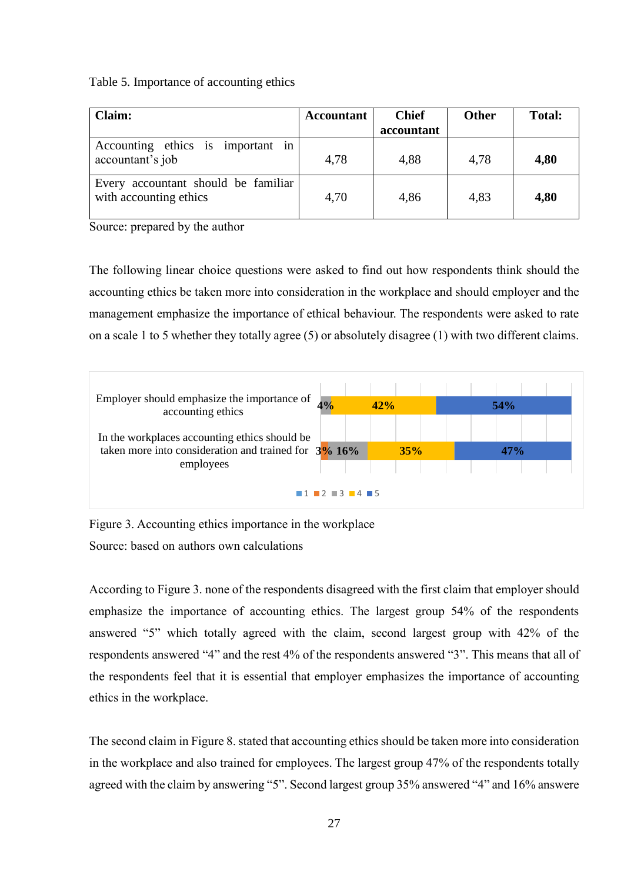### Table 5. Importance of accounting ethics

| <b>Claim:</b>                                                 | <b>Accountant</b> | <b>Chief</b> | <b>Other</b> | <b>Total:</b> |
|---------------------------------------------------------------|-------------------|--------------|--------------|---------------|
|                                                               |                   | accountant   |              |               |
| Accounting ethics is important in<br>accountant's job         | 4,78              | 4,88         | 4,78         | 4,80          |
| Every accountant should be familiar<br>with accounting ethics | 4,70              | 4,86         | 4,83         | 4,80          |

Source: prepared by the author

The following linear choice questions were asked to find out how respondents think should the accounting ethics be taken more into consideration in the workplace and should employer and the management emphasize the importance of ethical behaviour. The respondents were asked to rate on a scale 1 to 5 whether they totally agree (5) or absolutely disagree (1) with two different claims.



Figure 3. Accounting ethics importance in the workplace Source: based on authors own calculations

According to Figure 3. none of the respondents disagreed with the first claim that employer should emphasize the importance of accounting ethics. The largest group 54% of the respondents answered "5" which totally agreed with the claim, second largest group with 42% of the respondents answered "4" and the rest 4% of the respondents answered "3". This means that all of the respondents feel that it is essential that employer emphasizes the importance of accounting ethics in the workplace.

The second claim in Figure 8. stated that accounting ethics should be taken more into consideration in the workplace and also trained for employees. The largest group 47% of the respondents totally agreed with the claim by answering "5". Second largest group 35% answered "4" and 16% answere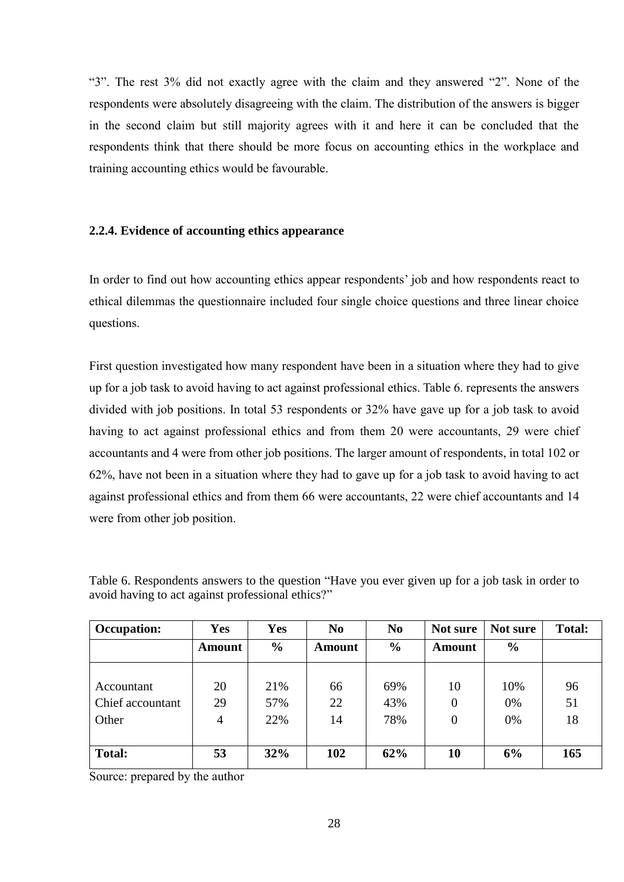"3". The rest 3% did not exactly agree with the claim and they answered "2". None of the respondents were absolutely disagreeing with the claim. The distribution of the answers is bigger in the second claim but still majority agrees with it and here it can be concluded that the respondents think that there should be more focus on accounting ethics in the workplace and training accounting ethics would be favourable.

### <span id="page-27-0"></span>**2.2.4. Evidence of accounting ethics appearance**

In order to find out how accounting ethics appear respondents' job and how respondents react to ethical dilemmas the questionnaire included four single choice questions and three linear choice questions.

First question investigated how many respondent have been in a situation where they had to give up for a job task to avoid having to act against professional ethics. Table 6. represents the answers divided with job positions. In total 53 respondents or 32% have gave up for a job task to avoid having to act against professional ethics and from them 20 were accountants, 29 were chief accountants and 4 were from other job positions. The larger amount of respondents, in total 102 or 62%, have not been in a situation where they had to gave up for a job task to avoid having to act against professional ethics and from them 66 were accountants, 22 were chief accountants and 14 were from other job position.

| <b>Occupation:</b> | <b>Yes</b>    | <b>Yes</b>    | N <sub>0</sub> | N <sub>0</sub> | Not sure         | Not sure      | <b>Total:</b> |
|--------------------|---------------|---------------|----------------|----------------|------------------|---------------|---------------|
|                    | <b>Amount</b> | $\frac{0}{0}$ | <b>Amount</b>  | $\frac{6}{6}$  | <b>Amount</b>    | $\frac{6}{6}$ |               |
|                    |               |               |                |                |                  |               |               |
| Accountant         | 20            | 21%           | 66             | 69%            | 10               | 10%           | 96            |
| Chief accountant   | 29            | 57%           | 22             | 43%            | $\overline{0}$   | 0%            | 51            |
| Other              | 4             | 22%           | 14             | 78%            | $\boldsymbol{0}$ | 0%            | 18            |
|                    |               |               |                |                |                  |               |               |
| <b>Total:</b>      | 53            | 32%           | 102            | 62%            | 10               | 6%            | 165           |

Table 6. Respondents answers to the question "Have you ever given up for a job task in order to avoid having to act against professional ethics?"

Source: prepared by the author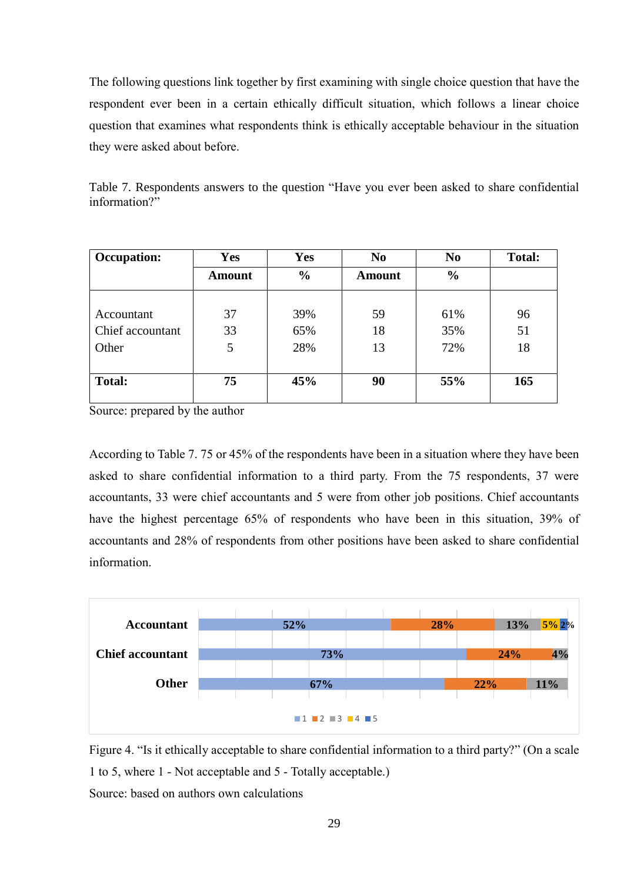The following questions link together by first examining with single choice question that have the respondent ever been in a certain ethically difficult situation, which follows a linear choice question that examines what respondents think is ethically acceptable behaviour in the situation they were asked about before.

Table 7. Respondents answers to the question "Have you ever been asked to share confidential information?"

| <b>Occupation:</b> | <b>Yes</b>    | <b>Yes</b>    | N <sub>0</sub> | N <sub>0</sub> | <b>Total:</b> |
|--------------------|---------------|---------------|----------------|----------------|---------------|
|                    | <b>Amount</b> | $\frac{6}{6}$ | <b>Amount</b>  | $\frac{0}{0}$  |               |
|                    |               |               |                |                |               |
| Accountant         | 37            | 39%           | 59             | 61%            | 96            |
| Chief accountant   | 33            | 65%           | 18             | 35%            | 51            |
| Other              | 5             | 28%           | 13             | 72%            | 18            |
|                    |               |               |                |                |               |
| <b>Total:</b>      | 75            | 45%           | 90             | 55%            | 165           |
|                    |               |               |                |                |               |

Source: prepared by the author

According to Table 7. 75 or 45% of the respondents have been in a situation where they have been asked to share confidential information to a third party. From the 75 respondents, 37 were accountants, 33 were chief accountants and 5 were from other job positions. Chief accountants have the highest percentage 65% of respondents who have been in this situation, 39% of accountants and 28% of respondents from other positions have been asked to share confidential information.



Figure 4. "Is it ethically acceptable to share confidential information to a third party?" (On a scale 1 to 5, where 1 - Not acceptable and 5 - Totally acceptable.) Source: based on authors own calculations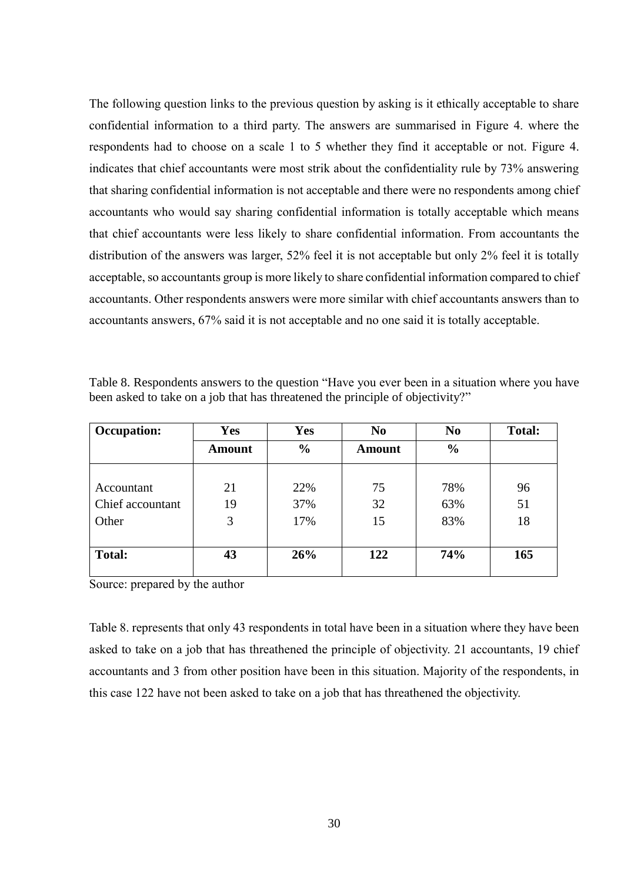The following question links to the previous question by asking is it ethically acceptable to share confidential information to a third party. The answers are summarised in Figure 4. where the respondents had to choose on a scale 1 to 5 whether they find it acceptable or not. Figure 4. indicates that chief accountants were most strik about the confidentiality rule by 73% answering that sharing confidential information is not acceptable and there were no respondents among chief accountants who would say sharing confidential information is totally acceptable which means that chief accountants were less likely to share confidential information. From accountants the distribution of the answers was larger, 52% feel it is not acceptable but only 2% feel it is totally acceptable, so accountants group is more likely to share confidential information compared to chief accountants. Other respondents answers were more similar with chief accountants answers than to accountants answers, 67% said it is not acceptable and no one said it is totally acceptable.

| Table 8. Respondents answers to the question "Have you ever been in a situation where you have |  |
|------------------------------------------------------------------------------------------------|--|
| been asked to take on a job that has threatened the principle of objectivity?"                 |  |

| <b>Occupation:</b> | Yes           | <b>Yes</b>    | N <sub>0</sub> | N <sub>0</sub> | <b>Total:</b> |
|--------------------|---------------|---------------|----------------|----------------|---------------|
|                    | <b>Amount</b> | $\frac{6}{6}$ | Amount         | $\frac{0}{0}$  |               |
|                    |               |               |                |                |               |
| Accountant         | 21            | 22%           | 75             | 78%            | 96            |
| Chief accountant   | 19            | 37%           | 32             | 63%            | 51            |
| Other              | 3             | 17%           | 15             | 83%            | 18            |
|                    |               |               |                |                |               |
| <b>Total:</b>      | 43            | 26%           | 122            | 74%            | 165           |
|                    |               |               |                |                |               |

Source: prepared by the author

Table 8. represents that only 43 respondents in total have been in a situation where they have been asked to take on a job that has threathened the principle of objectivity. 21 accountants, 19 chief accountants and 3 from other position have been in this situation. Majority of the respondents, in this case 122 have not been asked to take on a job that has threathened the objectivity.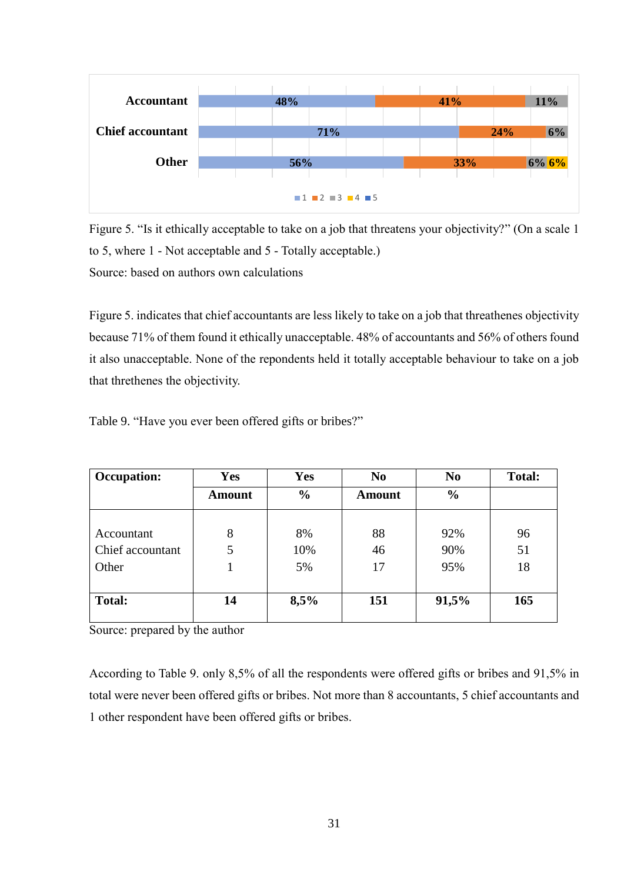

Figure 5. "Is it ethically acceptable to take on a job that threatens your objectivity?" (On a scale 1 to 5, where 1 - Not acceptable and 5 - Totally acceptable.) Source: based on authors own calculations

Figure 5. indicates that chief accountants are less likely to take on a job that threathenes objectivity because 71% of them found it ethically unacceptable. 48% of accountants and 56% of others found it also unacceptable. None of the repondents held it totally acceptable behaviour to take on a job that threthenes the objectivity.

| <b>Occupation:</b> | <b>Yes</b>    | Yes           | N <sub>0</sub> | N <sub>0</sub> | <b>Total:</b> |
|--------------------|---------------|---------------|----------------|----------------|---------------|
|                    | <b>Amount</b> | $\frac{0}{0}$ | Amount         | $\frac{0}{0}$  |               |
|                    |               |               |                |                |               |
| Accountant         | 8             | 8%            | 88             | 92%            | 96            |
| Chief accountant   | 5             | 10%           | 46             | 90%            | 51            |
| Other              |               | 5%            | 17             | 95%            | 18            |
|                    |               |               |                |                |               |
| <b>Total:</b>      | 14            | 8,5%          | 151            | 91,5%          | 165           |
|                    |               |               |                |                |               |

Table 9. "Have you ever been offered gifts or bribes?"

Source: prepared by the author

According to Table 9. only 8,5% of all the respondents were offered gifts or bribes and 91,5% in total were never been offered gifts or bribes. Not more than 8 accountants, 5 chief accountants and 1 other respondent have been offered gifts or bribes.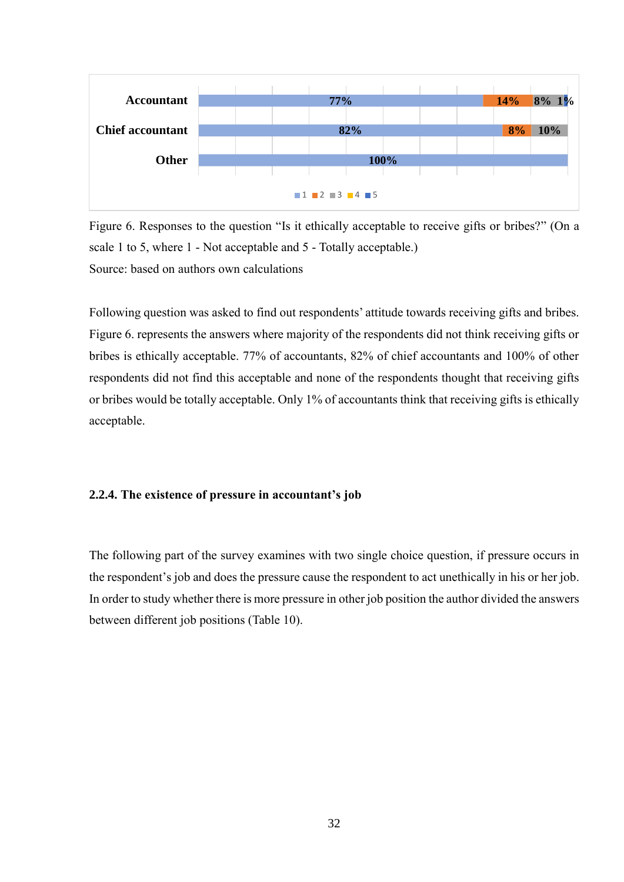

Figure 6. Responses to the question "Is it ethically acceptable to receive gifts or bribes?" (On a scale 1 to 5, where 1 - Not acceptable and 5 - Totally acceptable.) Source: based on authors own calculations

Following question was asked to find out respondents' attitude towards receiving gifts and bribes. Figure 6. represents the answers where majority of the respondents did not think receiving gifts or bribes is ethically acceptable. 77% of accountants, 82% of chief accountants and 100% of other respondents did not find this acceptable and none of the respondents thought that receiving gifts or bribes would be totally acceptable. Only 1% of accountants think that receiving gifts is ethically acceptable.

### <span id="page-31-0"></span>**2.2.4. The existence of pressure in accountant's job**

The following part of the survey examines with two single choice question, if pressure occurs in the respondent's job and does the pressure cause the respondent to act unethically in his or her job. In order to study whether there is more pressure in other job position the author divided the answers between different job positions (Table 10).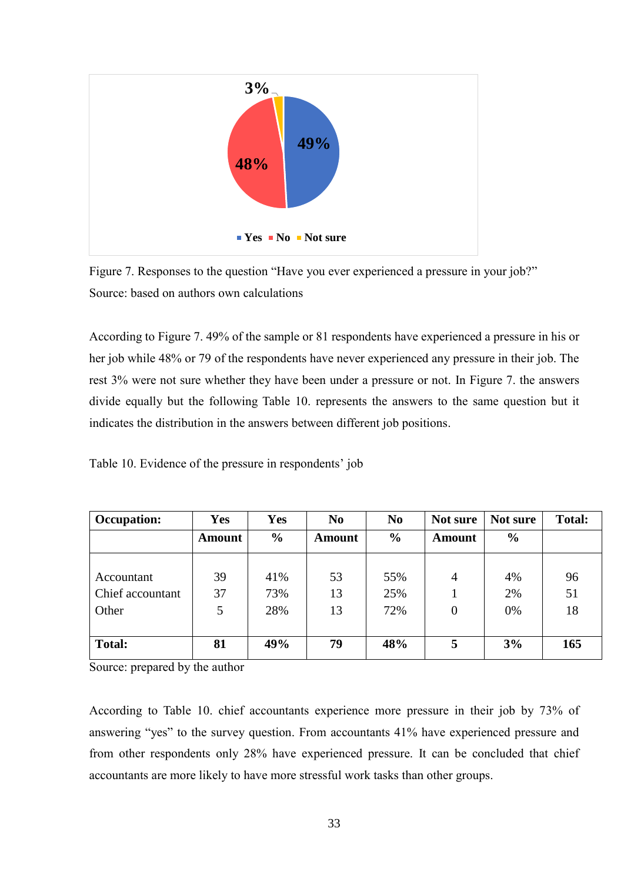

Figure 7. Responses to the question "Have you ever experienced a pressure in your job?" Source: based on authors own calculations

According to Figure 7. 49% of the sample or 81 respondents have experienced a pressure in his or her job while 48% or 79 of the respondents have never experienced any pressure in their job. The rest 3% were not sure whether they have been under a pressure or not. In Figure 7. the answers divide equally but the following Table 10. represents the answers to the same question but it indicates the distribution in the answers between different job positions.

Table 10. Evidence of the pressure in respondents' job

| <b>Occupation:</b> | Yes           | Yes           | N <sub>0</sub> | N <sub>0</sub> | Not sure       | Not sure      | <b>Total:</b> |
|--------------------|---------------|---------------|----------------|----------------|----------------|---------------|---------------|
|                    | <b>Amount</b> | $\frac{0}{0}$ | <b>Amount</b>  | $\frac{6}{6}$  | <b>Amount</b>  | $\frac{6}{9}$ |               |
|                    |               |               |                |                |                |               |               |
| Accountant         | 39            | 41%           | 53             | 55%            | 4              | 4%            | 96            |
| Chief accountant   | 37            | 73%           | 13             | 25%            |                | 2%            | 51            |
| Other              | 5             | 28%           | 13             | 72%            | $\overline{0}$ | 0%            | 18            |
|                    |               |               |                |                |                |               |               |
| <b>Total:</b>      | 81            | 49%           | 79             | 48%            | 5              | 3%            | 165           |

Source: prepared by the author

According to Table 10. chief accountants experience more pressure in their job by 73% of answering "yes" to the survey question. From accountants 41% have experienced pressure and from other respondents only 28% have experienced pressure. It can be concluded that chief accountants are more likely to have more stressful work tasks than other groups.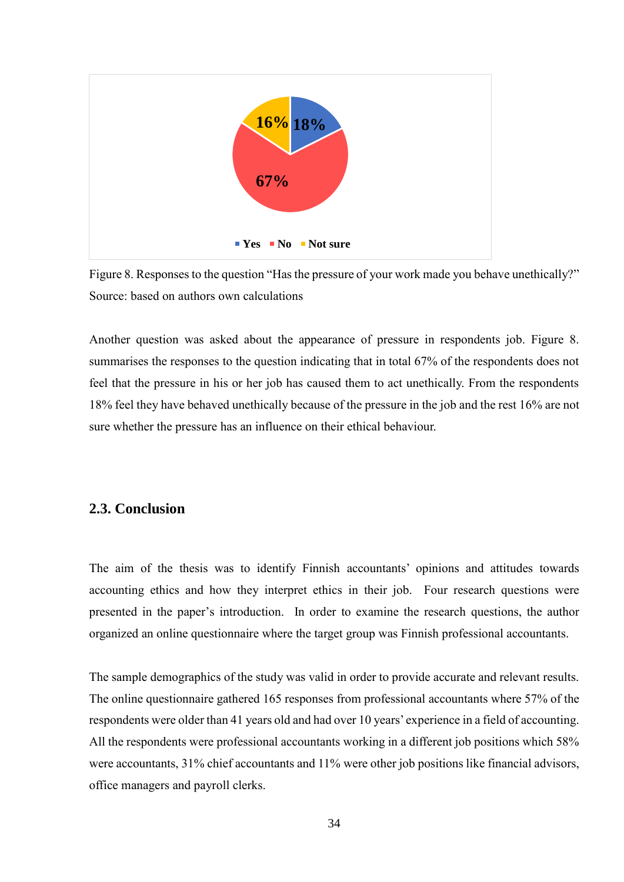

Figure 8. Responses to the question "Has the pressure of your work made you behave unethically?" Source: based on authors own calculations

Another question was asked about the appearance of pressure in respondents job. Figure 8. summarises the responses to the question indicating that in total 67% of the respondents does not feel that the pressure in his or her job has caused them to act unethically. From the respondents 18% feel they have behaved unethically because of the pressure in the job and the rest 16% are not sure whether the pressure has an influence on their ethical behaviour.

### <span id="page-33-0"></span>**2.3. Conclusion**

The aim of the thesis was to identify Finnish accountants' opinions and attitudes towards accounting ethics and how they interpret ethics in their job. Four research questions were presented in the paper's introduction. In order to examine the research questions, the author organized an online questionnaire where the target group was Finnish professional accountants.

The sample demographics of the study was valid in order to provide accurate and relevant results. The online questionnaire gathered 165 responses from professional accountants where 57% of the respondents were older than 41 years old and had over 10 years' experience in a field of accounting. All the respondents were professional accountants working in a different job positions which 58% were accountants, 31% chief accountants and 11% were other job positions like financial advisors, office managers and payroll clerks.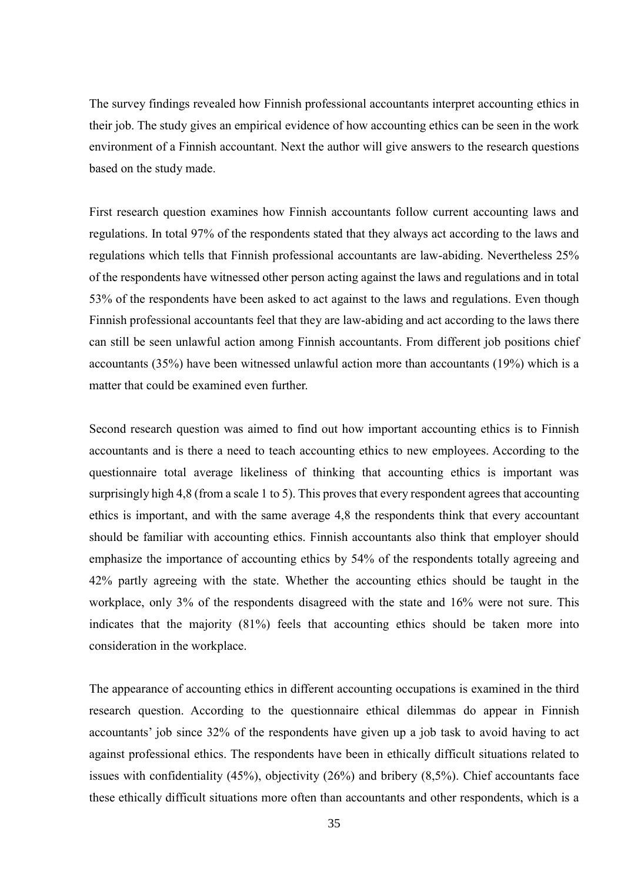The survey findings revealed how Finnish professional accountants interpret accounting ethics in their job. The study gives an empirical evidence of how accounting ethics can be seen in the work environment of a Finnish accountant. Next the author will give answers to the research questions based on the study made.

First research question examines how Finnish accountants follow current accounting laws and regulations. In total 97% of the respondents stated that they always act according to the laws and regulations which tells that Finnish professional accountants are law-abiding. Nevertheless 25% of the respondents have witnessed other person acting against the laws and regulations and in total 53% of the respondents have been asked to act against to the laws and regulations. Even though Finnish professional accountants feel that they are law-abiding and act according to the laws there can still be seen unlawful action among Finnish accountants. From different job positions chief accountants (35%) have been witnessed unlawful action more than accountants (19%) which is a matter that could be examined even further.

Second research question was aimed to find out how important accounting ethics is to Finnish accountants and is there a need to teach accounting ethics to new employees. According to the questionnaire total average likeliness of thinking that accounting ethics is important was surprisingly high 4,8 (from a scale 1 to 5). This proves that every respondent agrees that accounting ethics is important, and with the same average 4,8 the respondents think that every accountant should be familiar with accounting ethics. Finnish accountants also think that employer should emphasize the importance of accounting ethics by 54% of the respondents totally agreeing and 42% partly agreeing with the state. Whether the accounting ethics should be taught in the workplace, only 3% of the respondents disagreed with the state and 16% were not sure. This indicates that the majority (81%) feels that accounting ethics should be taken more into consideration in the workplace.

The appearance of accounting ethics in different accounting occupations is examined in the third research question. According to the questionnaire ethical dilemmas do appear in Finnish accountants' job since 32% of the respondents have given up a job task to avoid having to act against professional ethics. The respondents have been in ethically difficult situations related to issues with confidentiality (45%), objectivity (26%) and bribery (8,5%). Chief accountants face these ethically difficult situations more often than accountants and other respondents, which is a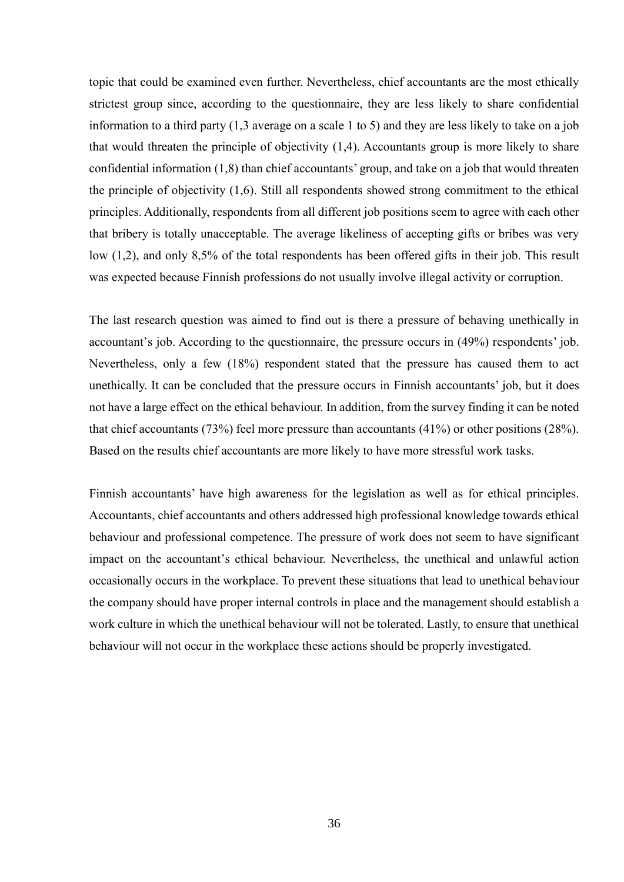topic that could be examined even further. Nevertheless, chief accountants are the most ethically strictest group since, according to the questionnaire, they are less likely to share confidential information to a third party (1,3 average on a scale 1 to 5) and they are less likely to take on a job that would threaten the principle of objectivity (1,4). Accountants group is more likely to share confidential information (1,8) than chief accountants' group, and take on a job that would threaten the principle of objectivity (1,6). Still all respondents showed strong commitment to the ethical principles. Additionally, respondents from all different job positions seem to agree with each other that bribery is totally unacceptable. The average likeliness of accepting gifts or bribes was very low (1,2), and only 8,5% of the total respondents has been offered gifts in their job. This result was expected because Finnish professions do not usually involve illegal activity or corruption.

The last research question was aimed to find out is there a pressure of behaving unethically in accountant's job. According to the questionnaire, the pressure occurs in (49%) respondents' job. Nevertheless, only a few (18%) respondent stated that the pressure has caused them to act unethically. It can be concluded that the pressure occurs in Finnish accountants' job, but it does not have a large effect on the ethical behaviour. In addition, from the survey finding it can be noted that chief accountants (73%) feel more pressure than accountants (41%) or other positions (28%). Based on the results chief accountants are more likely to have more stressful work tasks.

Finnish accountants' have high awareness for the legislation as well as for ethical principles. Accountants, chief accountants and others addressed high professional knowledge towards ethical behaviour and professional competence. The pressure of work does not seem to have significant impact on the accountant's ethical behaviour. Nevertheless, the unethical and unlawful action occasionally occurs in the workplace. To prevent these situations that lead to unethical behaviour the company should have proper internal controls in place and the management should establish a work culture in which the unethical behaviour will not be tolerated. Lastly, to ensure that unethical behaviour will not occur in the workplace these actions should be properly investigated.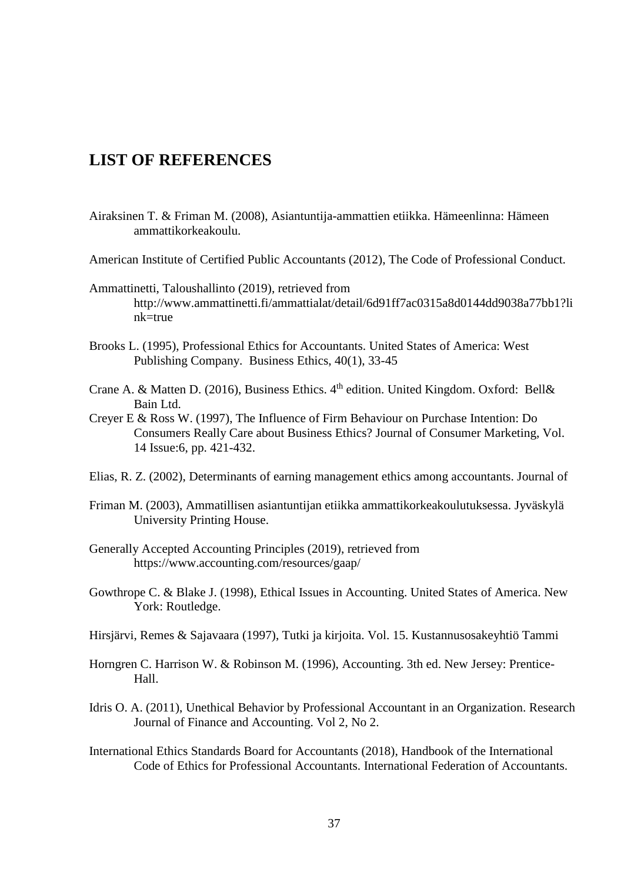## <span id="page-36-0"></span>**LIST OF REFERENCES**

- Airaksinen T. & Friman M. (2008), Asiantuntija-ammattien etiikka. Hämeenlinna: Hämeen ammattikorkeakoulu.
- American Institute of Certified Public Accountants (2012), The Code of Professional Conduct.
- Ammattinetti, Taloushallinto (2019), retrieved from http://www.ammattinetti.fi/ammattialat/detail/6d91ff7ac0315a8d0144dd9038a77bb1?li nk=true
- Brooks L. (1995), Professional Ethics for Accountants. United States of America: West Publishing Company. Business Ethics, 40(1), 33-45
- Crane A. & Matten D. (2016), Business Ethics.  $4<sup>th</sup>$  edition. United Kingdom. Oxford: Bell& Bain Ltd.
- Creyer E & Ross W. (1997), The Influence of Firm Behaviour on Purchase Intention: Do Consumers Really Care about Business Ethics? Journal of Consumer Marketing, Vol. 14 Issue:6, pp. 421-432.
- Elias, R. Z. (2002), Determinants of earning management ethics among accountants. Journal of
- Friman M. (2003), Ammatillisen asiantuntijan etiikka ammattikorkeakoulutuksessa. Jyväskylä University Printing House.
- Generally Accepted Accounting Principles (2019), retrieved from https://www.accounting.com/resources/gaap/
- Gowthrope C. & Blake J. (1998), Ethical Issues in Accounting. United States of America. New York: Routledge.
- Hirsjärvi, Remes & Sajavaara (1997), Tutki ja kirjoita. Vol. 15. Kustannusosakeyhtiö Tammi
- Horngren C. Harrison W. & Robinson M. (1996), Accounting. 3th ed. New Jersey: Prentice-Hall.
- Idris O. A. (2011), Unethical Behavior by Professional Accountant in an Organization. Research Journal of Finance and Accounting. Vol 2, No 2.
- International Ethics Standards Board for Accountants (2018), Handbook of the International Code of Ethics for Professional Accountants. International Federation of Accountants.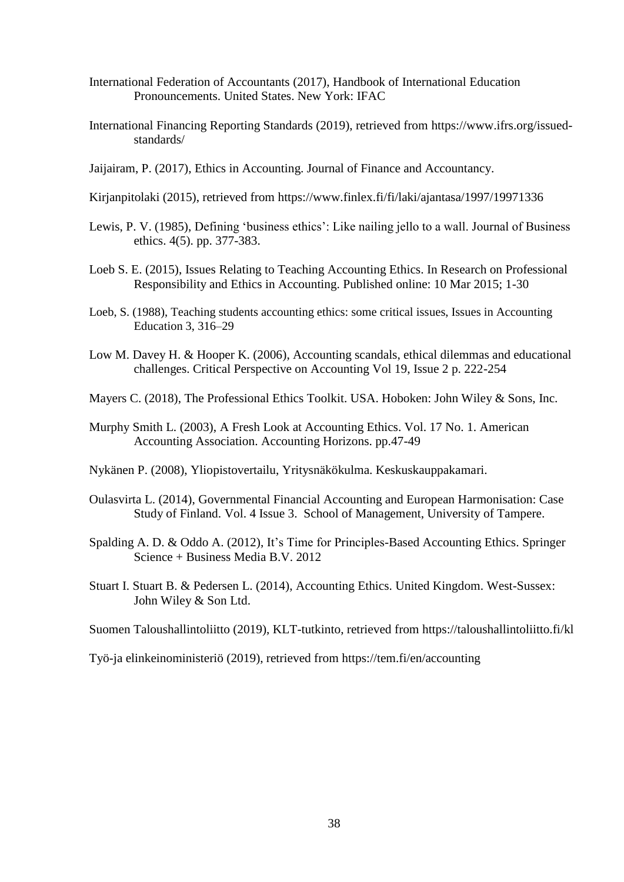- International Federation of Accountants (2017), Handbook of International Education Pronouncements. United States. New York: IFAC
- International Financing Reporting Standards (2019), retrieved from https://www.ifrs.org/issuedstandards/
- Jaijairam, P. (2017), Ethics in Accounting. Journal of Finance and Accountancy.
- Kirjanpitolaki (2015), retrieved from https://www.finlex.fi/fi/laki/ajantasa/1997/19971336
- Lewis, P. V. (1985), Defining 'business ethics': Like nailing jello to a wall. Journal of Business ethics. 4(5). pp. 377-383.
- Loeb S. E. (2015), Issues Relating to Teaching Accounting Ethics. In Research on Professional Responsibility and Ethics in Accounting. Published online: 10 Mar 2015; 1-30
- Loeb, S. (1988), Teaching students accounting ethics: some critical issues, Issues in Accounting Education 3, 316–29
- Low M. Davey H. & Hooper K. (2006), Accounting scandals, ethical dilemmas and educational challenges. Critical Perspective on Accounting Vol 19, Issue 2 p. 222-254
- Mayers C. (2018), The Professional Ethics Toolkit. USA. Hoboken: John Wiley & Sons, Inc.
- Murphy Smith L. (2003), A Fresh Look at Accounting Ethics. Vol. 17 No. 1. American Accounting Association. Accounting Horizons. pp.47-49
- Nykänen P. (2008), Yliopistovertailu, Yritysnäkökulma. Keskuskauppakamari.
- Oulasvirta L. (2014), Governmental Financial Accounting and European Harmonisation: Case Study of Finland. Vol. 4 Issue 3. School of Management, University of Tampere.
- Spalding A. D. & Oddo A. (2012), It's Time for Principles-Based Accounting Ethics. Springer Science + Business Media B.V. 2012
- Stuart I. Stuart B. & Pedersen L. (2014), Accounting Ethics. United Kingdom. West-Sussex: John Wiley & Son Ltd.
- Suomen Taloushallintoliitto (2019), KLT-tutkinto, retrieved from https://taloushallintoliitto.fi/kl

Työ-ja elinkeinoministeriö (2019), retrieved from https://tem.fi/en/accounting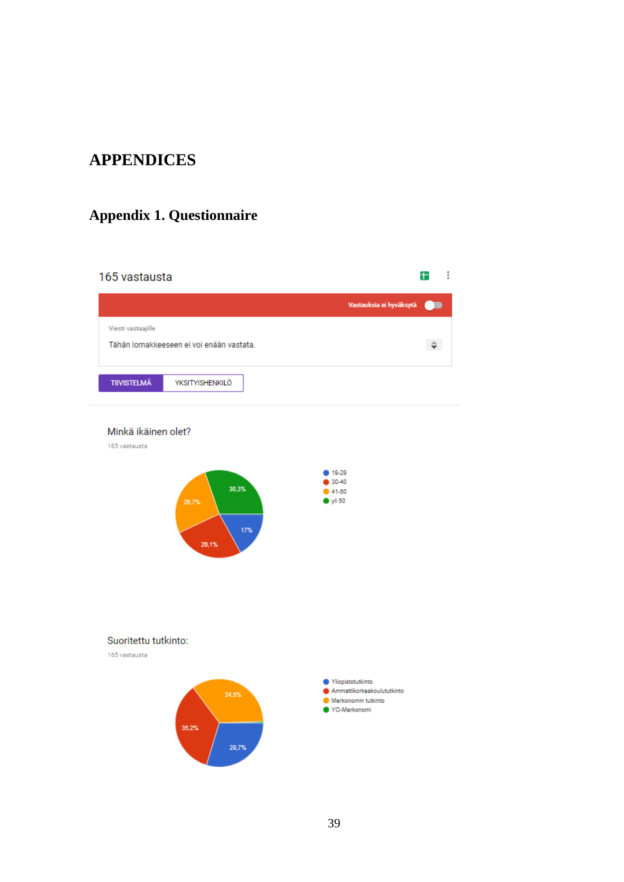## <span id="page-38-0"></span>**APPENDICES**

## <span id="page-38-1"></span>**Appendix 1. Questionnaire**

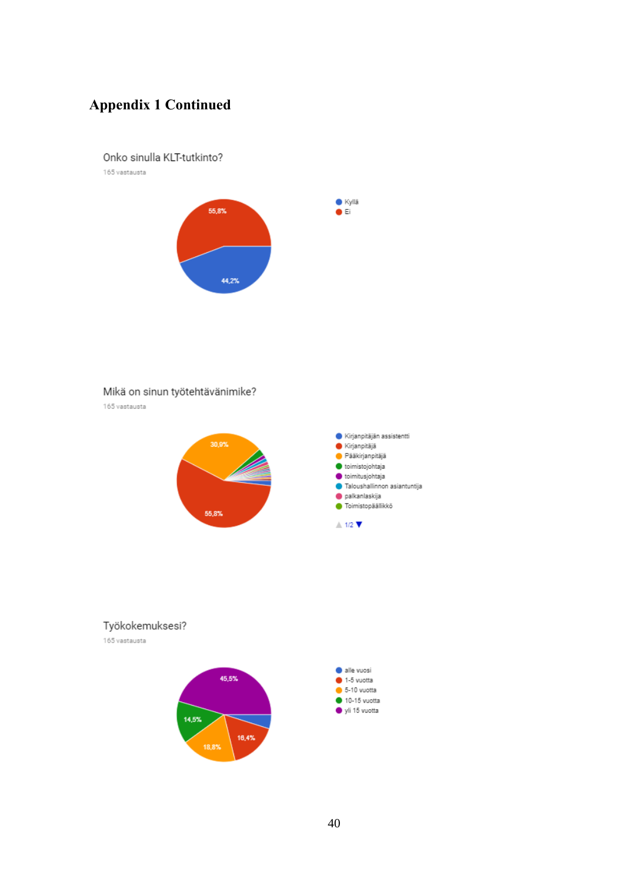#### Onko sinulla KLT-tutkinto?

165 vastausta



### Mikä on sinun työtehtävänimike?

165 vastausta



### Työkokemuksesi?

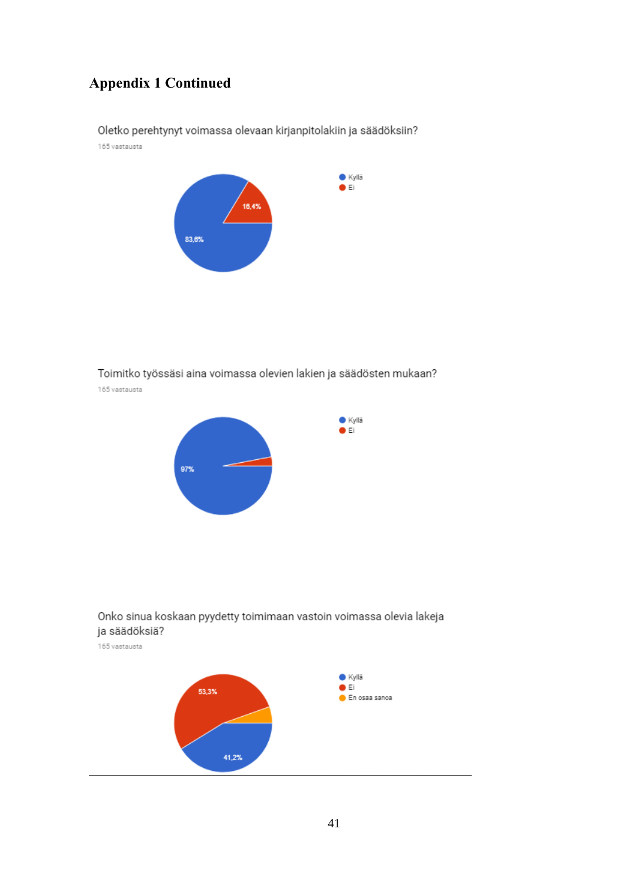Oletko perehtynyt voimassa olevaan kirjanpitolakiin ja säädöksiin? 165 vastausta



## Toimitko työssäsi aina voimassa olevien lakien ja säädösten mukaan?

 $\bullet$  Kyllä  $\bullet$  Ei

165 vastausta





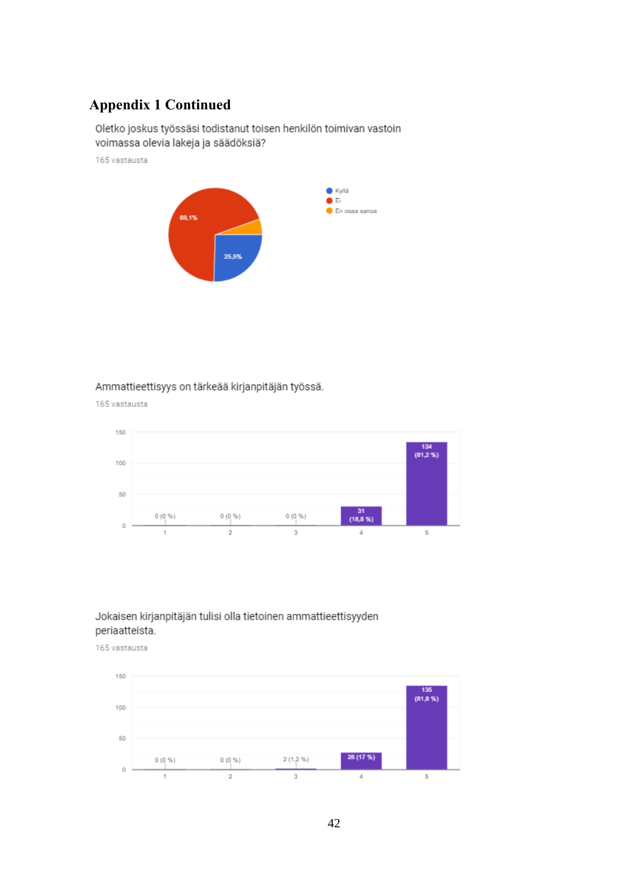Oletko joskus työssäsi todistanut toisen henkilön toimivan vastoin voimassa olevia lakeja ja säädöksiä?

165 vastausta



### Ammattieettisyys on tärkeää kirjanpitäjän työssä.

165 vastausta



### Jokaisen kirjanpitäjän tulisi olla tietoinen ammattieettisyyden periaatteista.

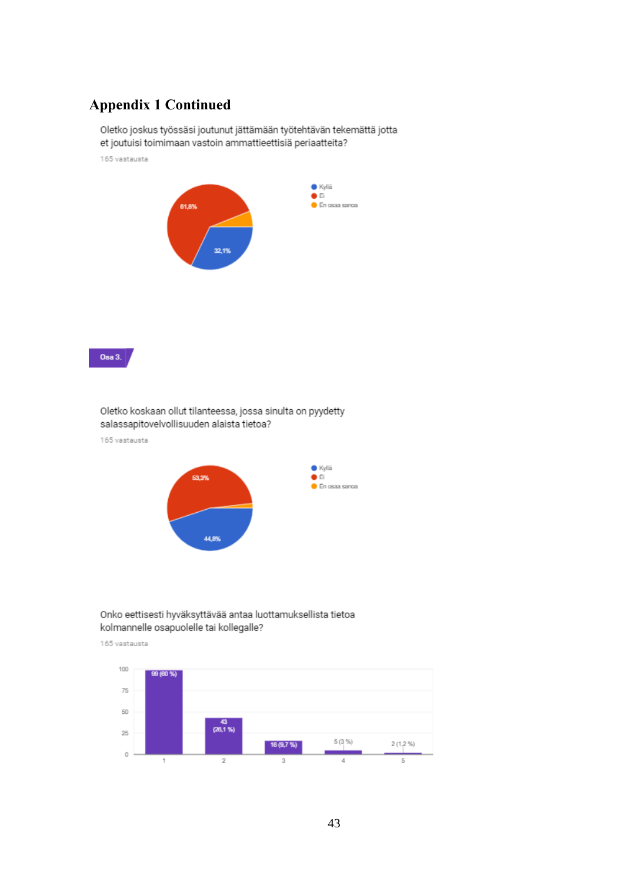Oletko joskus työssäsi joutunut jättämään työtehtävän tekemättä jotta et joutuisi toimimaan vastoin ammattieettisiä periaatteita?

165 vastausta



Osa 3.

Oletko koskaan ollut tilanteessa, jossa sinulta on pyydetty salassapitovelvollisuuden alaista tietoa?

165 vastausta



#### Onko eettisesti hyväksyttävää antaa luottamuksellista tietoa kolmannelle osapuolelle tai kollegalle?

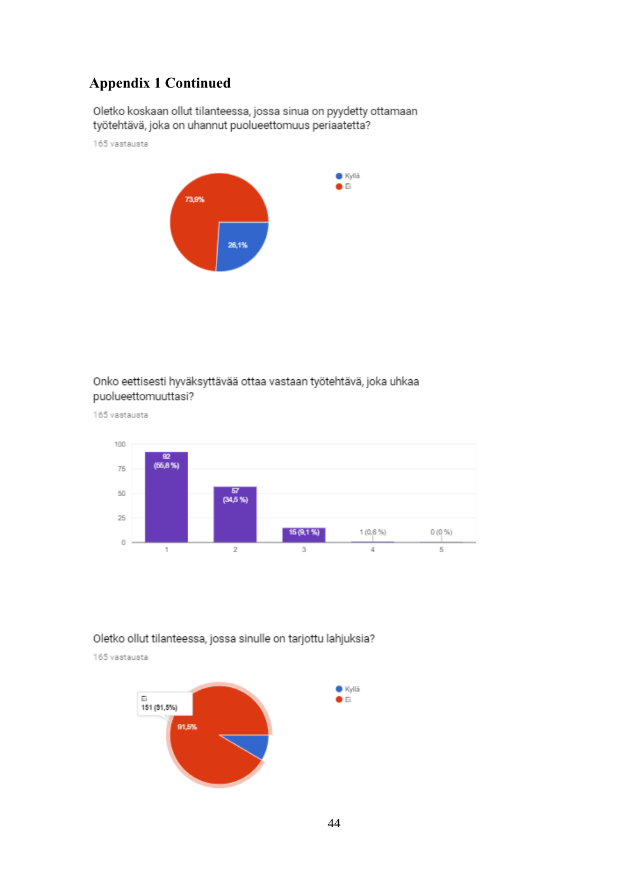Oletko koskaan ollut tilanteessa, jossa sinua on pyydetty ottamaan työtehtävä, joka on uhannut puolueettomuus periaatetta?

165 vastausta



### Onko eettisesti hyväksyttävää ottaa vastaan työtehtävä, joka uhkaa puolueettomuuttasi?

165 vastausta



### Oletko ollut tilanteessa, jossa sinulle on tarjottu lahjuksia?

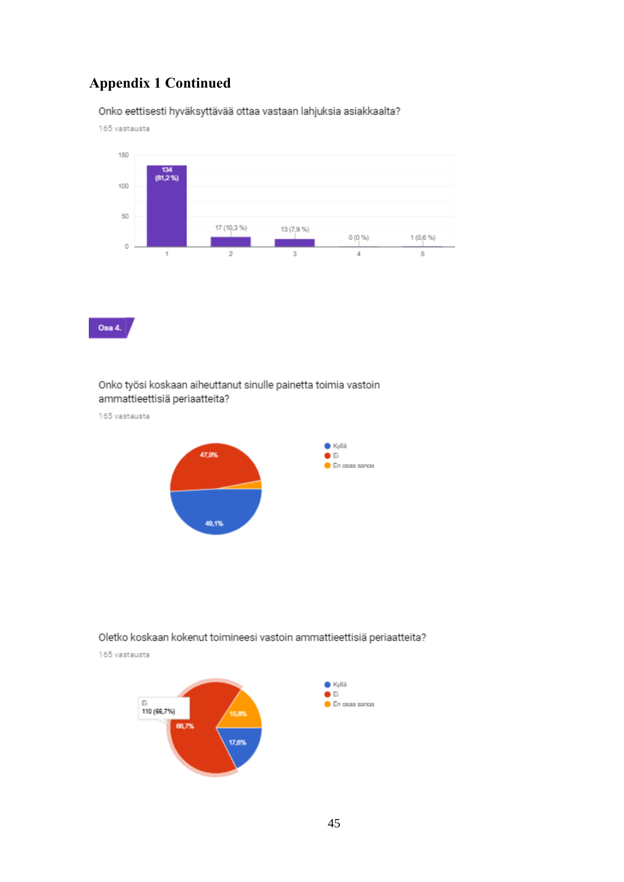Onko eettisesti hyväksyttävää ottaa vastaan lahjuksia asiakkaalta?

165 vastausta



Osa 4.

### Onko työsi koskaan aiheuttanut sinulle painetta toimia vastoin ammattieettisiä periaatteita?

165 vastausta



### Oletko koskaan kokenut toimineesi vastoin ammattieettisiä periaatteita?